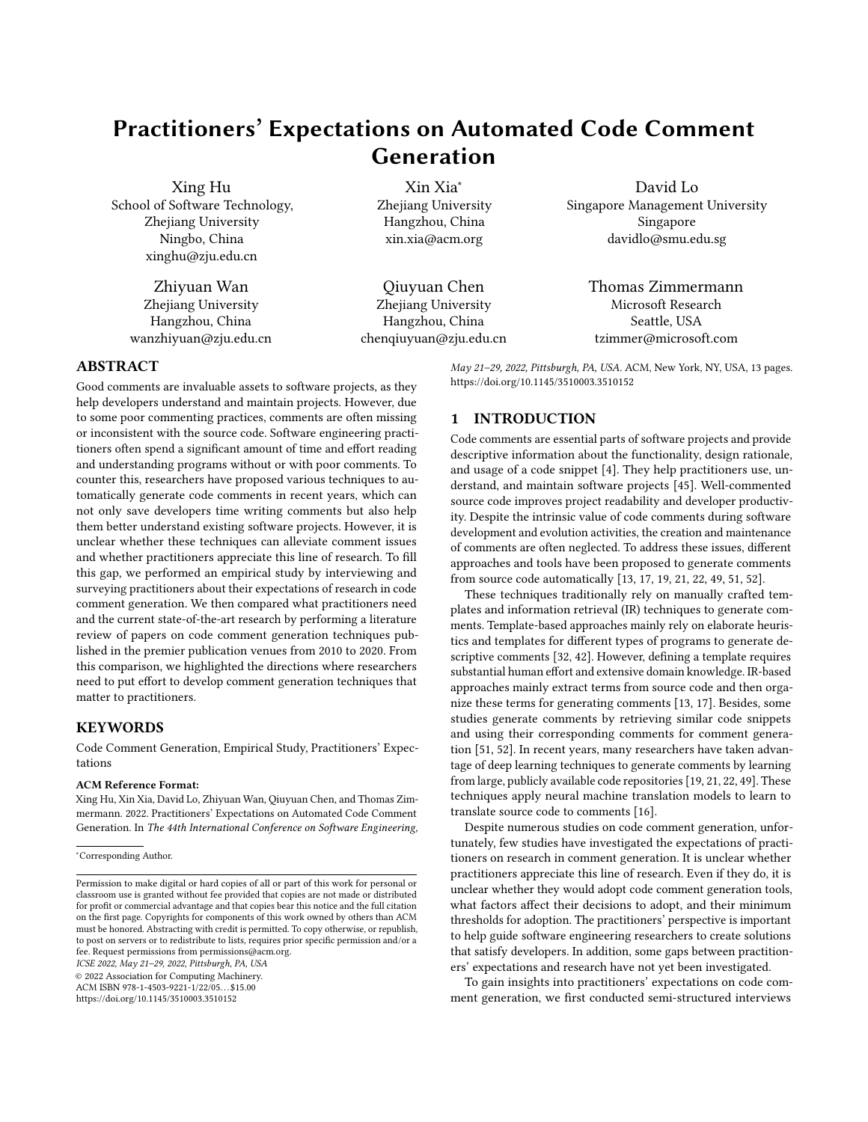# Practitioners' Expectations on Automated Code Comment Generation

Xing Hu School of Software Technology, Zhejiang University Ningbo, China xinghu@zju.edu.cn

> Zhiyuan Wan Zhejiang University Hangzhou, China wanzhiyuan@zju.edu.cn

Xin Xia<sup>∗</sup> Zhejiang University Hangzhou, China xin.xia@acm.org

Qiuyuan Chen Zhejiang University Hangzhou, China chenqiuyuan@zju.edu.cn

David Lo Singapore Management University Singapore davidlo@smu.edu.sg

> Thomas Zimmermann Microsoft Research Seattle, USA tzimmer@microsoft.com

ABSTRACT

Good comments are invaluable assets to software projects, as they help developers understand and maintain projects. However, due to some poor commenting practices, comments are often missing or inconsistent with the source code. Software engineering practitioners often spend a significant amount of time and effort reading and understanding programs without or with poor comments. To counter this, researchers have proposed various techniques to automatically generate code comments in recent years, which can not only save developers time writing comments but also help them better understand existing software projects. However, it is unclear whether these techniques can alleviate comment issues and whether practitioners appreciate this line of research. To fill this gap, we performed an empirical study by interviewing and surveying practitioners about their expectations of research in code comment generation. We then compared what practitioners need and the current state-of-the-art research by performing a literature review of papers on code comment generation techniques published in the premier publication venues from 2010 to 2020. From this comparison, we highlighted the directions where researchers need to put effort to develop comment generation techniques that matter to practitioners.

# **KEYWORDS**

Code Comment Generation, Empirical Study, Practitioners' Expectations

### ACM Reference Format:

Xing Hu, Xin Xia, David Lo, Zhiyuan Wan, Qiuyuan Chen, and Thomas Zimmermann. 2022. Practitioners' Expectations on Automated Code Comment Generation. In The 44th International Conference on Software Engineering,

ICSE 2022, May 21–29, 2022, Pittsburgh, PA, USA

© 2022 Association for Computing Machinery.

ACM ISBN 978-1-4503-9221-1/22/05. . . \$15.00 <https://doi.org/10.1145/3510003.3510152>

Code comments are essential parts of software projects and provide descriptive information about the functionality, design rationale, and usage of a code snippet [\[4\]](#page-11-0). They help practitioners use, understand, and maintain software projects [\[45\]](#page-11-1). Well-commented source code improves project readability and developer productivity. Despite the intrinsic value of code comments during software development and evolution activities, the creation and maintenance of comments are often neglected. To address these issues, different approaches and tools have been proposed to generate comments from source code automatically [\[13,](#page-11-2) [17,](#page-11-3) [19,](#page-11-4) [21,](#page-11-5) [22,](#page-11-6) [49,](#page-12-1) [51,](#page-12-2) [52\]](#page-12-3).

May 21–29, 2022, Pittsburgh, PA, USA. ACM, New York, NY, USA, [13](#page-12-0) pages.

<https://doi.org/10.1145/3510003.3510152>

1 INTRODUCTION

These techniques traditionally rely on manually crafted templates and information retrieval (IR) techniques to generate comments. Template-based approaches mainly rely on elaborate heuristics and templates for different types of programs to generate descriptive comments [\[32,](#page-11-7) [42\]](#page-11-8). However, defining a template requires substantial human effort and extensive domain knowledge. IR-based approaches mainly extract terms from source code and then organize these terms for generating comments [\[13,](#page-11-2) [17\]](#page-11-3). Besides, some studies generate comments by retrieving similar code snippets and using their corresponding comments for comment generation [\[51,](#page-12-2) [52\]](#page-12-3). In recent years, many researchers have taken advantage of deep learning techniques to generate comments by learning from large, publicly available code repositories [\[19,](#page-11-4) [21,](#page-11-5) [22,](#page-11-6) [49\]](#page-12-1). These techniques apply neural machine translation models to learn to translate source code to comments [\[16\]](#page-11-9).

Despite numerous studies on code comment generation, unfortunately, few studies have investigated the expectations of practitioners on research in comment generation. It is unclear whether practitioners appreciate this line of research. Even if they do, it is unclear whether they would adopt code comment generation tools, what factors affect their decisions to adopt, and their minimum thresholds for adoption. The practitioners' perspective is important to help guide software engineering researchers to create solutions that satisfy developers. In addition, some gaps between practitioners' expectations and research have not yet been investigated.

To gain insights into practitioners' expectations on code comment generation, we first conducted semi-structured interviews

<sup>∗</sup>Corresponding Author.

Permission to make digital or hard copies of all or part of this work for personal or classroom use is granted without fee provided that copies are not made or distributed for profit or commercial advantage and that copies bear this notice and the full citation on the first page. Copyrights for components of this work owned by others than ACM must be honored. Abstracting with credit is permitted. To copy otherwise, or republish, to post on servers or to redistribute to lists, requires prior specific permission and/or a fee. Request permissions from permissions@acm.org.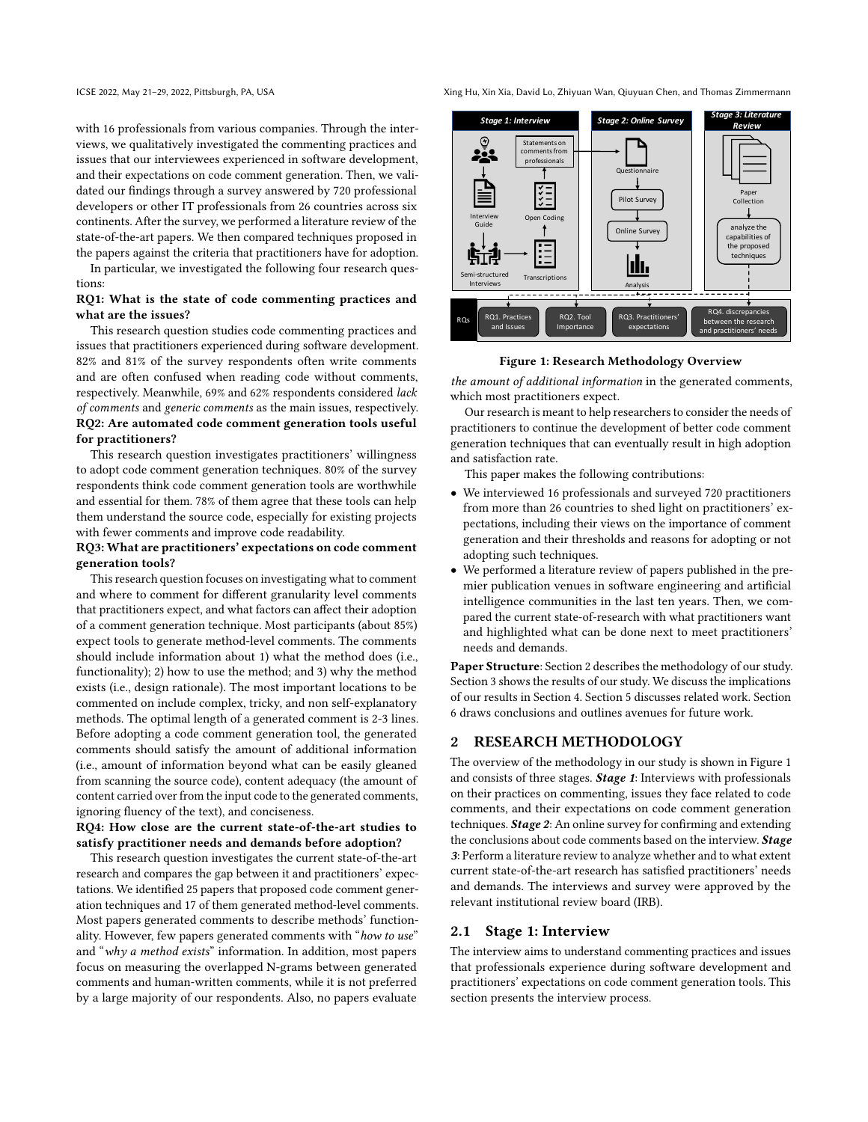with 16 professionals from various companies. Through the interviews, we qualitatively investigated the commenting practices and issues that our interviewees experienced in software development, and their expectations on code comment generation. Then, we validated our findings through a survey answered by 720 professional developers or other IT professionals from 26 countries across six continents. After the survey, we performed a literature review of the state-of-the-art papers. We then compared techniques proposed in the papers against the criteria that practitioners have for adoption.

In particular, we investigated the following four research questions:

### RQ1: What is the state of code commenting practices and what are the issues?

This research question studies code commenting practices and issues that practitioners experienced during software development. 82% and 81% of the survey respondents often write comments and are often confused when reading code without comments, respectively. Meanwhile, 69% and 62% respondents considered lack of comments and generic comments as the main issues, respectively. RQ2: Are automated code comment generation tools useful for practitioners?

This research question investigates practitioners' willingness to adopt code comment generation techniques. 80% of the survey respondents think code comment generation tools are worthwhile and essential for them. 78% of them agree that these tools can help them understand the source code, especially for existing projects with fewer comments and improve code readability.

#### RQ3: What are practitioners' expectations on code comment generation tools?

This research question focuses on investigating what to comment and where to comment for different granularity level comments that practitioners expect, and what factors can affect their adoption of a comment generation technique. Most participants (about 85%) expect tools to generate method-level comments. The comments should include information about 1) what the method does (i.e., functionality); 2) how to use the method; and 3) why the method exists (i.e., design rationale). The most important locations to be commented on include complex, tricky, and non self-explanatory methods. The optimal length of a generated comment is 2-3 lines. Before adopting a code comment generation tool, the generated comments should satisfy the amount of additional information (i.e., amount of information beyond what can be easily gleaned from scanning the source code), content adequacy (the amount of content carried over from the input code to the generated comments, ignoring fluency of the text), and conciseness.

### RQ4: How close are the current state-of-the-art studies to satisfy practitioner needs and demands before adoption?

This research question investigates the current state-of-the-art research and compares the gap between it and practitioners' expectations. We identified 25 papers that proposed code comment generation techniques and 17 of them generated method-level comments. Most papers generated comments to describe methods' functionality. However, few papers generated comments with "how to use" and "why a method exists" information. In addition, most papers focus on measuring the overlapped N-grams between generated comments and human-written comments, while it is not preferred by a large majority of our respondents. Also, no papers evaluate

ICSE 2022, May 21-29, 2022, Pittsburgh, PA, USA Xing Hu, Xin Xia, David Lo, Zhiyuan Wan, Qiuyuan Chen, and Thomas Zimmermann

<span id="page-1-1"></span>

Figure 1: Research Methodology Overview

the amount of additional information in the generated comments, which most practitioners expect.

Our research is meant to help researchers to consider the needs of practitioners to continue the development of better code comment generation techniques that can eventually result in high adoption and satisfaction rate.

This paper makes the following contributions:

- We interviewed 16 professionals and surveyed 720 practitioners from more than 26 countries to shed light on practitioners' expectations, including their views on the importance of comment generation and their thresholds and reasons for adopting or not adopting such techniques.
- We performed a literature review of papers published in the premier publication venues in software engineering and artificial intelligence communities in the last ten years. Then, we compared the current state-of-research with what practitioners want and highlighted what can be done next to meet practitioners' needs and demands.

Paper Structure: Section [2](#page-1-0) describes the methodology of our study. Section [3](#page-3-0) shows the results of our study. We discuss the implications of our results in Section [4.](#page-8-0) Section [5](#page-9-0) discusses related work. Section [6](#page-10-0) draws conclusions and outlines avenues for future work.

# <span id="page-1-0"></span>2 RESEARCH METHODOLOGY

The overview of the methodology in our study is shown in Figure [1](#page-1-1) and consists of three stages. Stage 1: Interviews with professionals on their practices on commenting, issues they face related to code comments, and their expectations on code comment generation techniques. Stage 2: An online survey for confirming and extending the conclusions about code comments based on the interview. Stage 3: Perform a literature review to analyze whether and to what extent current state-of-the-art research has satisfied practitioners' needs and demands. The interviews and survey were approved by the relevant institutional review board (IRB).

### 2.1 Stage 1: Interview

The interview aims to understand commenting practices and issues that professionals experience during software development and practitioners' expectations on code comment generation tools. This section presents the interview process.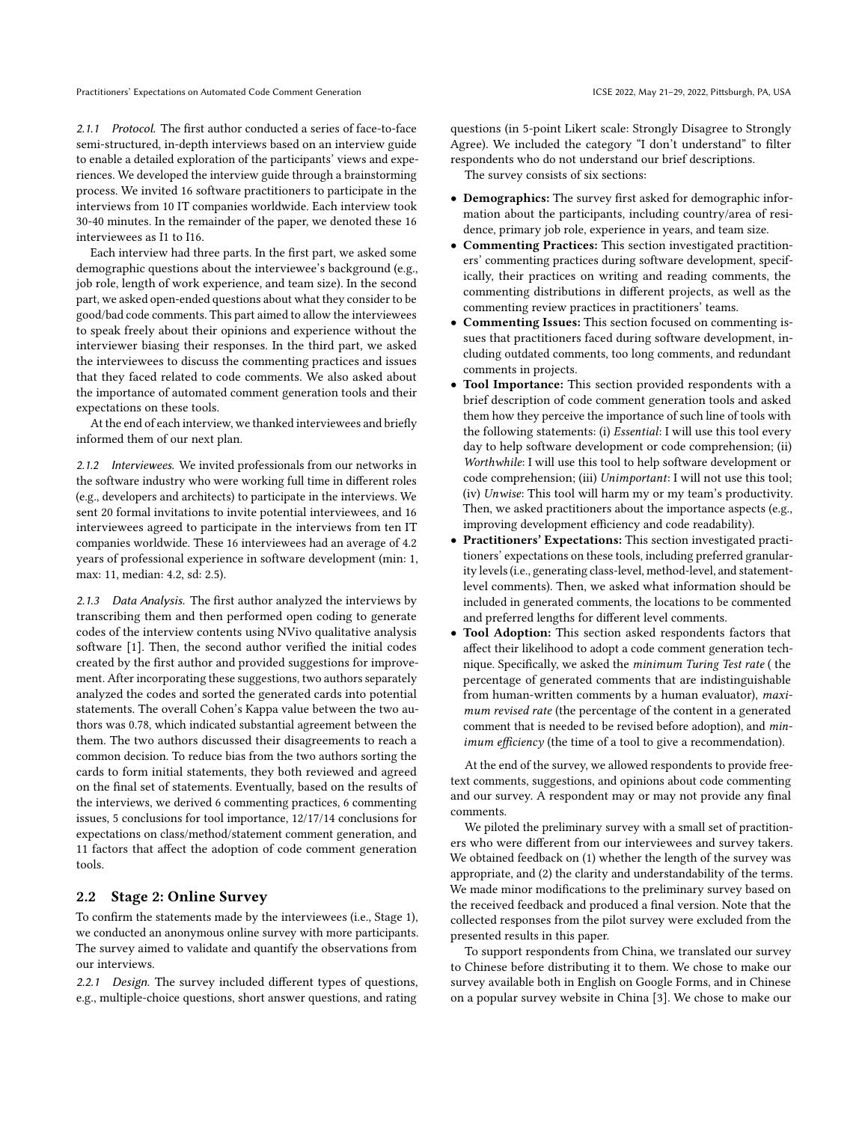2.1.1 Protocol. The first author conducted a series of face-to-face semi-structured, in-depth interviews based on an interview guide to enable a detailed exploration of the participants' views and experiences. We developed the interview guide through a brainstorming process. We invited 16 software practitioners to participate in the interviews from 10 IT companies worldwide. Each interview took 30-40 minutes. In the remainder of the paper, we denoted these 16 interviewees as I1 to I16.

Each interview had three parts. In the first part, we asked some demographic questions about the interviewee's background (e.g., job role, length of work experience, and team size). In the second part, we asked open-ended questions about what they consider to be good/bad code comments. This part aimed to allow the interviewees to speak freely about their opinions and experience without the interviewer biasing their responses. In the third part, we asked the interviewees to discuss the commenting practices and issues that they faced related to code comments. We also asked about the importance of automated comment generation tools and their expectations on these tools.

At the end of each interview, we thanked interviewees and briefly informed them of our next plan.

2.1.2 Interviewees. We invited professionals from our networks in the software industry who were working full time in different roles (e.g., developers and architects) to participate in the interviews. We sent 20 formal invitations to invite potential interviewees, and 16 interviewees agreed to participate in the interviews from ten IT companies worldwide. These 16 interviewees had an average of 4.2 years of professional experience in software development (min: 1, max: 11, median: 4.2, sd: 2.5).

2.1.3 Data Analysis. The first author analyzed the interviews by transcribing them and then performed open coding to generate codes of the interview contents using NVivo qualitative analysis software [\[1\]](#page-11-10). Then, the second author verified the initial codes created by the first author and provided suggestions for improvement. After incorporating these suggestions, two authors separately analyzed the codes and sorted the generated cards into potential statements. The overall Cohen's Kappa value between the two authors was 0.78, which indicated substantial agreement between the them. The two authors discussed their disagreements to reach a common decision. To reduce bias from the two authors sorting the cards to form initial statements, they both reviewed and agreed on the final set of statements. Eventually, based on the results of the interviews, we derived 6 commenting practices, 6 commenting issues, 5 conclusions for tool importance, 12/17/14 conclusions for expectations on class/method/statement comment generation, and 11 factors that affect the adoption of code comment generation tools.

### 2.2 Stage 2: Online Survey

To confirm the statements made by the interviewees (i.e., Stage 1), we conducted an anonymous online survey with more participants. The survey aimed to validate and quantify the observations from our interviews.

2.2.1 Design. The survey included different types of questions, e.g., multiple-choice questions, short answer questions, and rating

questions (in 5-point Likert scale: Strongly Disagree to Strongly Agree). We included the category "I don't understand" to filter respondents who do not understand our brief descriptions.

The survey consists of six sections:

- Demographics: The survey first asked for demographic information about the participants, including country/area of residence, primary job role, experience in years, and team size.
- Commenting Practices: This section investigated practitioners' commenting practices during software development, specifically, their practices on writing and reading comments, the commenting distributions in different projects, as well as the commenting review practices in practitioners' teams.
- Commenting Issues: This section focused on commenting issues that practitioners faced during software development, including outdated comments, too long comments, and redundant comments in projects.
- Tool Importance: This section provided respondents with a brief description of code comment generation tools and asked them how they perceive the importance of such line of tools with the following statements: (i) Essential: I will use this tool every day to help software development or code comprehension; (ii) Worthwhile: I will use this tool to help software development or code comprehension; (iii) Unimportant: I will not use this tool; (iv) Unwise: This tool will harm my or my team's productivity. Then, we asked practitioners about the importance aspects (e.g., improving development efficiency and code readability).
- Practitioners' Expectations: This section investigated practitioners' expectations on these tools, including preferred granularity levels (i.e., generating class-level, method-level, and statementlevel comments). Then, we asked what information should be included in generated comments, the locations to be commented and preferred lengths for different level comments.
- Tool Adoption: This section asked respondents factors that affect their likelihood to adopt a code comment generation technique. Specifically, we asked the minimum Turing Test rate ( the percentage of generated comments that are indistinguishable from human-written comments by a human evaluator), maximum revised rate (the percentage of the content in a generated comment that is needed to be revised before adoption), and minimum efficiency (the time of a tool to give a recommendation).

At the end of the survey, we allowed respondents to provide freetext comments, suggestions, and opinions about code commenting and our survey. A respondent may or may not provide any final comments.

We piloted the preliminary survey with a small set of practitioners who were different from our interviewees and survey takers. We obtained feedback on (1) whether the length of the survey was appropriate, and (2) the clarity and understandability of the terms. We made minor modifications to the preliminary survey based on the received feedback and produced a final version. Note that the collected responses from the pilot survey were excluded from the presented results in this paper.

To support respondents from China, we translated our survey to Chinese before distributing it to them. We chose to make our survey available both in English on Google Forms, and in Chinese on a popular survey website in China [\[3\]](#page-11-11). We chose to make our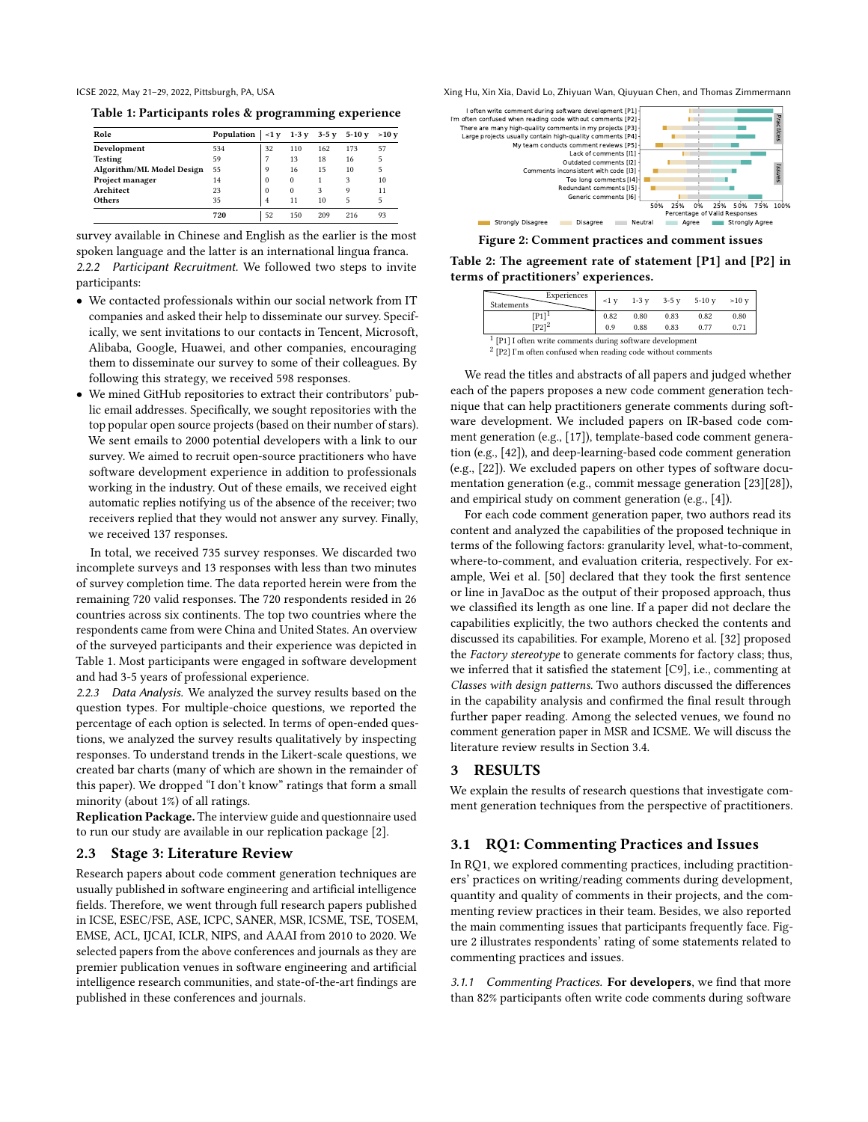<span id="page-3-1"></span>Table 1: Participants roles & programming experience

| Role                      | Population | $<1$ v   | $1-3y$ 3-5 y |     | $5 - 10$ v | $>10$ v |
|---------------------------|------------|----------|--------------|-----|------------|---------|
| Development               | 534        | 32       | 110          | 162 | 173        | 57      |
| <b>Testing</b>            | 59         |          | 13           | 18  | 16         | 5       |
| Algorithm/ML Model Design | 55         | 9        | 16           | 15  | 10         | 5       |
| Project manager           | 14         | $\theta$ | $\Omega$     |     | 3          | 10      |
| Architect                 | 23         | $\Omega$ | $\theta$     | 3   | 9          | 11      |
| Others                    | 35         | 4        | 11           | 10  | 5          | 5       |
|                           | 720        | 52       | 150          | 209 | 216        | 93      |

survey available in Chinese and English as the earlier is the most spoken language and the latter is an international lingua franca. 2.2.2 Participant Recruitment. We followed two steps to invite participants:

- We contacted professionals within our social network from IT companies and asked their help to disseminate our survey. Specifically, we sent invitations to our contacts in Tencent, Microsoft, Alibaba, Google, Huawei, and other companies, encouraging them to disseminate our survey to some of their colleagues. By following this strategy, we received 598 responses.
- We mined GitHub repositories to extract their contributors' public email addresses. Specifically, we sought repositories with the top popular open source projects (based on their number of stars). We sent emails to 2000 potential developers with a link to our survey. We aimed to recruit open-source practitioners who have software development experience in addition to professionals working in the industry. Out of these emails, we received eight automatic replies notifying us of the absence of the receiver; two receivers replied that they would not answer any survey. Finally, we received 137 responses.

In total, we received 735 survey responses. We discarded two incomplete surveys and 13 responses with less than two minutes of survey completion time. The data reported herein were from the remaining 720 valid responses. The 720 respondents resided in 26 countries across six continents. The top two countries where the respondents came from were China and United States. An overview of the surveyed participants and their experience was depicted in Table [1.](#page-3-1) Most participants were engaged in software development and had 3-5 years of professional experience.

2.2.3 Data Analysis. We analyzed the survey results based on the question types. For multiple-choice questions, we reported the percentage of each option is selected. In terms of open-ended questions, we analyzed the survey results qualitatively by inspecting responses. To understand trends in the Likert-scale questions, we created bar charts (many of which are shown in the remainder of this paper). We dropped "I don't know" ratings that form a small minority (about 1%) of all ratings.

Replication Package. The interview guide and questionnaire used to run our study are available in our replication package [\[2\]](#page-11-12).

# 2.3 Stage 3: Literature Review

Research papers about code comment generation techniques are usually published in software engineering and artificial intelligence fields. Therefore, we went through full research papers published in ICSE, ESEC/FSE, ASE, ICPC, SANER, MSR, ICSME, TSE, TOSEM, EMSE, ACL, IJCAI, ICLR, NIPS, and AAAI from 2010 to 2020. We selected papers from the above conferences and journals as they are premier publication venues in software engineering and artificial intelligence research communities, and state-of-the-art findings are published in these conferences and journals.

ICSE 2022, May 21-29, 2022, Pittsburgh, PA, USA Xing Hu, Xing Hu, Xin Xia, David Lo, Zhiyuan Wan, Qiuyuan Chen, and Thomas Zimmermann

<span id="page-3-2"></span>

Figure 2: Comment practices and comment issues

<span id="page-3-3"></span>Table 2: The agreement rate of statement [P1] and [P2] in terms of practitioners' experiences.

| Experiences<br><b>Statements</b>                            | $<1$ v | $1-3y$ | $3-5y$ | $5-10$ y | $>10$ v |  |
|-------------------------------------------------------------|--------|--------|--------|----------|---------|--|
| $[P1]$ <sup>1</sup>                                         | 0.82   | 0.80   | 0.83   | 0.82     | 0.80    |  |
| $[P2]$ <sup>2</sup>                                         | 0.9    | 0.88   | 0.83   | 0.77     | 0.71    |  |
| $1$ [P1] I often write comments during software development |        |        |        |          |         |  |

 $^1$  [P1] I often write comments during software development<br> $^2$  [P2] I'm often confused when reading code without comments

We read the titles and abstracts of all papers and judged whether each of the papers proposes a new code comment generation technique that can help practitioners generate comments during software development. We included papers on IR-based code comment generation (e.g., [\[17\]](#page-11-3)), template-based code comment generation (e.g., [\[42\]](#page-11-8)), and deep-learning-based code comment generation (e.g., [\[22\]](#page-11-6)). We excluded papers on other types of software documentation generation (e.g., commit message generation [\[23\]](#page-11-13)[\[28\]](#page-11-14)), and empirical study on comment generation (e.g., [\[4\]](#page-11-0)).

For each code comment generation paper, two authors read its content and analyzed the capabilities of the proposed technique in terms of the following factors: granularity level, what-to-comment, where-to-comment, and evaluation criteria, respectively. For example, Wei et al. [\[50\]](#page-12-4) declared that they took the first sentence or line in JavaDoc as the output of their proposed approach, thus we classified its length as one line. If a paper did not declare the capabilities explicitly, the two authors checked the contents and discussed its capabilities. For example, Moreno et al. [\[32\]](#page-11-7) proposed the Factory stereotype to generate comments for factory class; thus, we inferred that it satisfied the statement [C9], i.e., commenting at Classes with design patterns. Two authors discussed the differences in the capability analysis and confirmed the final result through further paper reading. Among the selected venues, we found no comment generation paper in MSR and ICSME. We will discuss the literature review results in Section [3.4.](#page-7-0)

### <span id="page-3-0"></span>3 RESULTS

We explain the results of research questions that investigate comment generation techniques from the perspective of practitioners.

### 3.1 RQ1: Commenting Practices and Issues

In RQ1, we explored commenting practices, including practitioners' practices on writing/reading comments during development, quantity and quality of comments in their projects, and the commenting review practices in their team. Besides, we also reported the main commenting issues that participants frequently face. Figure [2](#page-3-2) illustrates respondents' rating of some statements related to commenting practices and issues.

3.1.1 Commenting Practices. For developers, we find that more than 82% participants often write code comments during software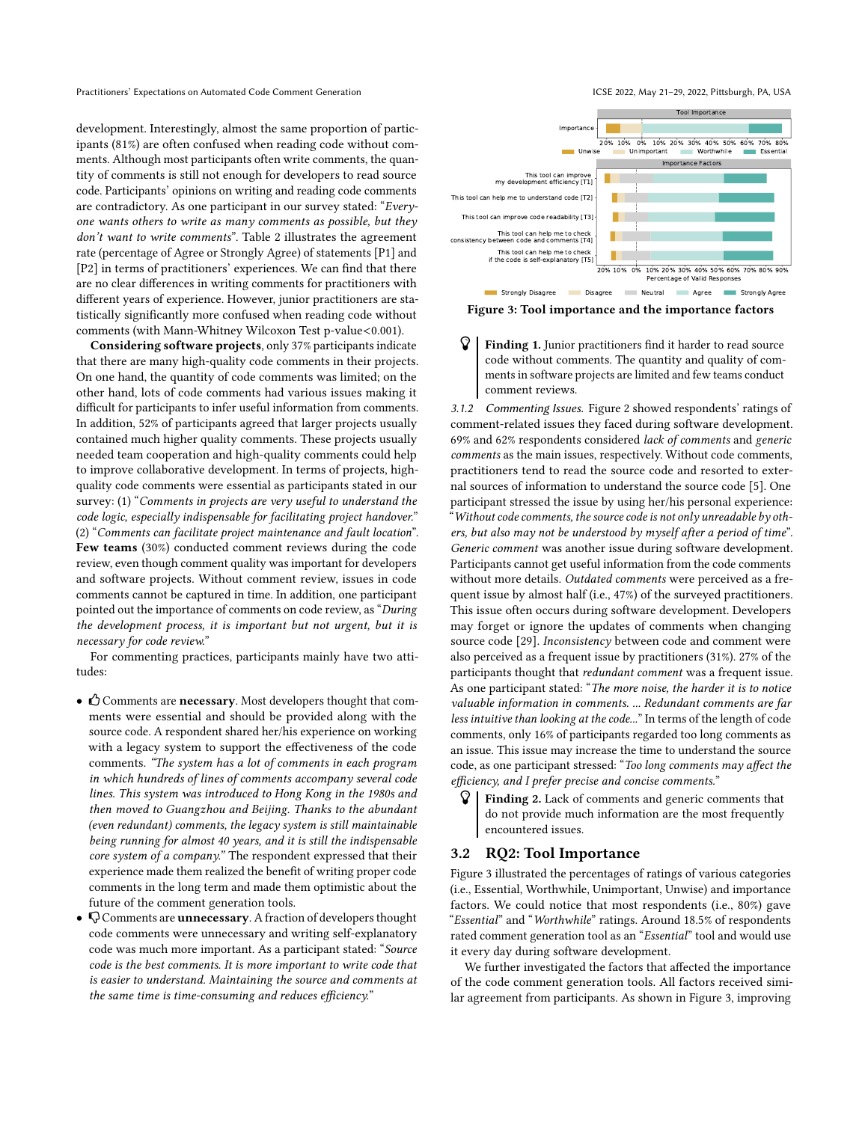development. Interestingly, almost the same proportion of participants (81%) are often confused when reading code without comments. Although most participants often write comments, the quantity of comments is still not enough for developers to read source code. Participants' opinions on writing and reading code comments are contradictory. As one participant in our survey stated: "Everyone wants others to write as many comments as possible, but they don't want to write comments". Table [2](#page-3-3) illustrates the agreement rate (percentage of Agree or Strongly Agree) of statements [P1] and [P2] in terms of practitioners' experiences. We can find that there are no clear differences in writing comments for practitioners with different years of experience. However, junior practitioners are statistically significantly more confused when reading code without comments (with Mann-Whitney Wilcoxon Test p-value<0.001).

Considering software projects, only 37% participants indicate that there are many high-quality code comments in their projects. On one hand, the quantity of code comments was limited; on the other hand, lots of code comments had various issues making it difficult for participants to infer useful information from comments. In addition, 52% of participants agreed that larger projects usually contained much higher quality comments. These projects usually needed team cooperation and high-quality comments could help to improve collaborative development. In terms of projects, highquality code comments were essential as participants stated in our survey: (1) "Comments in projects are very useful to understand the code logic, especially indispensable for facilitating project handover." (2) "Comments can facilitate project maintenance and fault location". Few teams (30%) conducted comment reviews during the code review, even though comment quality was important for developers and software projects. Without comment review, issues in code comments cannot be captured in time. In addition, one participant pointed out the importance of comments on code review, as "During the development process, it is important but not urgent, but it is necessary for code review."

For commenting practices, participants mainly have two attitudes:

- $\triangle$  Comments are necessary. Most developers thought that comments were essential and should be provided along with the source code. A respondent shared her/his experience on working with a legacy system to support the effectiveness of the code comments. "The system has a lot of comments in each program in which hundreds of lines of comments accompany several code lines. This system was introduced to Hong Kong in the 1980s and then moved to Guangzhou and Beijing. Thanks to the abundant (even redundant) comments, the legacy system is still maintainable being running for almost 40 years, and it is still the indispensable core system of a company." The respondent expressed that their experience made them realized the benefit of writing proper code comments in the long term and made them optimistic about the future of the comment generation tools.
- $\bigcirc$  Comments are unnecessary. A fraction of developers thought code comments were unnecessary and writing self-explanatory code was much more important. As a participant stated: "Source code is the best comments. It is more important to write code that is easier to understand. Maintaining the source and comments at the same time is time-consuming and reduces efficiency."

<span id="page-4-0"></span>

Figure 3: Tool importance and the importance factors

 Finding 1. Junior practitioners find it harder to read source code without comments. The quantity and quality of comments in software projects are limited and few teams conduct comment reviews.

3.1.2 Commenting Issues. Figure [2](#page-3-2) showed respondents' ratings of comment-related issues they faced during software development. 69% and 62% respondents considered lack of comments and generic comments as the main issues, respectively. Without code comments, practitioners tend to read the source code and resorted to external sources of information to understand the source code [\[5\]](#page-11-15). One participant stressed the issue by using her/his personal experience:  $\lq$  Without code comments, the source code is not only unreadable by others, but also may not be understood by myself after a period of time". Generic comment was another issue during software development. Participants cannot get useful information from the code comments without more details. Outdated comments were perceived as a frequent issue by almost half (i.e., 47%) of the surveyed practitioners. This issue often occurs during software development. Developers may forget or ignore the updates of comments when changing source code [\[29\]](#page-11-16). Inconsistency between code and comment were also perceived as a frequent issue by practitioners (31%). 27% of the participants thought that redundant comment was a frequent issue. As one participant stated: "The more noise, the harder it is to notice valuable information in comments. ... Redundant comments are far less intuitive than looking at the code..." In terms of the length of code comments, only 16% of participants regarded too long comments as an issue. This issue may increase the time to understand the source code, as one participant stressed: "Too long comments may affect the efficiency, and I prefer precise and concise comments."

 Finding 2. Lack of comments and generic comments that do not provide much information are the most frequently encountered issues.

# 3.2 RQ2: Tool Importance

Figure [3](#page-4-0) illustrated the percentages of ratings of various categories (i.e., Essential, Worthwhile, Unimportant, Unwise) and importance factors. We could notice that most respondents (i.e., 80%) gave "Essential" and "Worthwhile" ratings. Around 18.5% of respondents rated comment generation tool as an "Essential" tool and would use it every day during software development.

We further investigated the factors that affected the importance of the code comment generation tools. All factors received similar agreement from participants. As shown in Figure [3,](#page-4-0) improving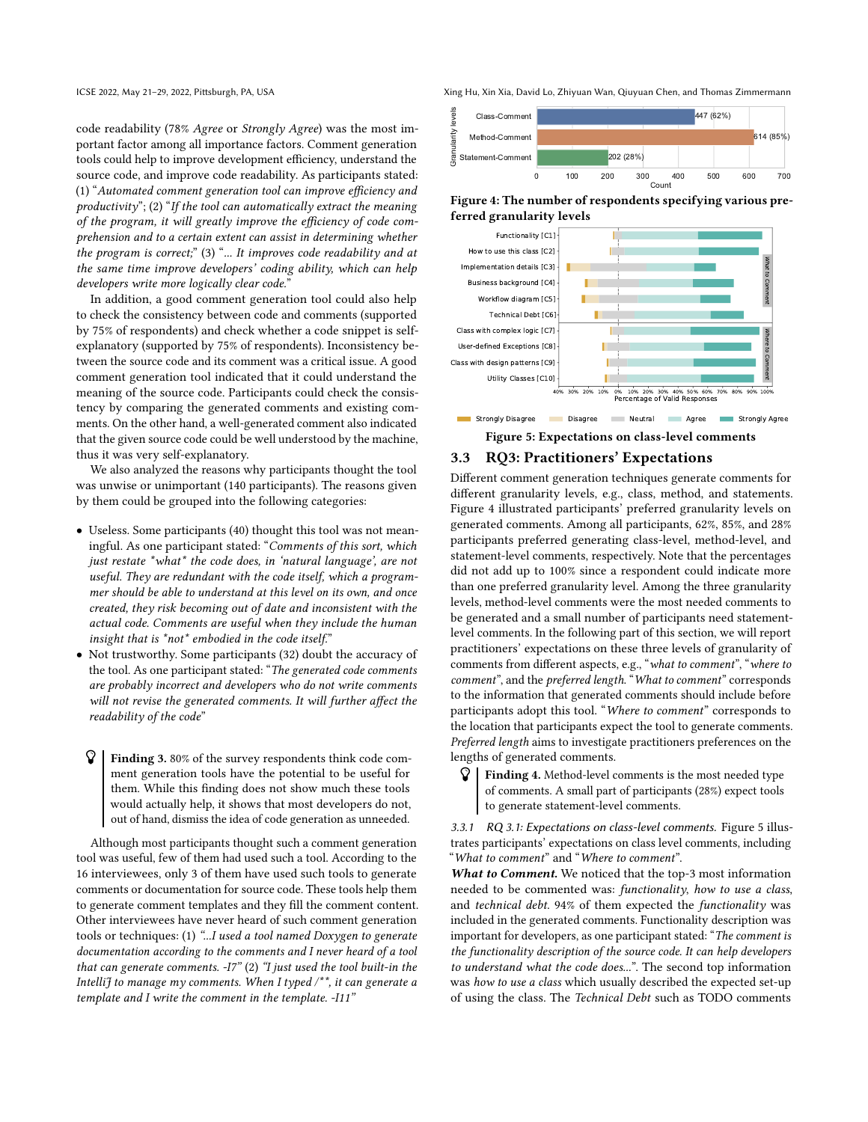code readability (78% Agree or Strongly Agree) was the most important factor among all importance factors. Comment generation tools could help to improve development efficiency, understand the source code, and improve code readability. As participants stated: (1) "Automated comment generation tool can improve efficiency and productivity"; (2) "If the tool can automatically extract the meaning of the program, it will greatly improve the efficiency of code comprehension and to a certain extent can assist in determining whether the program is correct;" (3) "... It improves code readability and at the same time improve developers' coding ability, which can help developers write more logically clear code."

In addition, a good comment generation tool could also help to check the consistency between code and comments (supported by 75% of respondents) and check whether a code snippet is selfexplanatory (supported by 75% of respondents). Inconsistency between the source code and its comment was a critical issue. A good comment generation tool indicated that it could understand the meaning of the source code. Participants could check the consistency by comparing the generated comments and existing comments. On the other hand, a well-generated comment also indicated that the given source code could be well understood by the machine, thus it was very self-explanatory.

We also analyzed the reasons why participants thought the tool was unwise or unimportant (140 participants). The reasons given by them could be grouped into the following categories:

- Useless. Some participants (40) thought this tool was not meaningful. As one participant stated: "Comments of this sort, which just restate \*what\* the code does, in 'natural language', are not useful. They are redundant with the code itself, which a programmer should be able to understand at this level on its own, and once created, they risk becoming out of date and inconsistent with the actual code. Comments are useful when they include the human insight that is \*not\* embodied in the code itself."
- Not trustworthy. Some participants (32) doubt the accuracy of the tool. As one participant stated: "The generated code comments are probably incorrect and developers who do not write comments will not revise the generated comments. It will further affect the readability of the code"
- $\mathcal{G}$  | Finding 3.80% of the survey respondents think code comment generation tools have the potential to be useful for them. While this finding does not show much these tools would actually help, it shows that most developers do not, out of hand, dismiss the idea of code generation as unneeded.

Although most participants thought such a comment generation tool was useful, few of them had used such a tool. According to the 16 interviewees, only 3 of them have used such tools to generate comments or documentation for source code. These tools help them to generate comment templates and they fill the comment content. Other interviewees have never heard of such comment generation tools or techniques: (1) "...I used a tool named Doxygen to generate documentation according to the comments and I never heard of a tool that can generate comments. -I7" (2) "I just used the tool built-in the Intelli $\mathfrak f$  to manage my comments. When I typed  $/^*$ , it can generate a template and I write the comment in the template. -I11"

ICSE 2022, May 21-29, 2022, Pittsburgh, PA, USA Xing Hu, Xin Xia, David Lo, Zhiyuan Wan, Qiuyuan Chen, and Thomas Zimmermann

<span id="page-5-0"></span>

Figure 4: The number of respondents specifying various preferred granularity levels

<span id="page-5-1"></span>

Figure 5: Expectations on class-level comments

# 3.3 RQ3: Practitioners' Expectations

Different comment generation techniques generate comments for different granularity levels, e.g., class, method, and statements. Figure [4](#page-5-0) illustrated participants' preferred granularity levels on generated comments. Among all participants, 62%, 85%, and 28% participants preferred generating class-level, method-level, and statement-level comments, respectively. Note that the percentages did not add up to 100% since a respondent could indicate more than one preferred granularity level. Among the three granularity levels, method-level comments were the most needed comments to be generated and a small number of participants need statementlevel comments. In the following part of this section, we will report practitioners' expectations on these three levels of granularity of comments from different aspects, e.g., "what to comment", "where to comment", and the preferred length. "What to comment" corresponds to the information that generated comments should include before participants adopt this tool. "Where to comment" corresponds to the location that participants expect the tool to generate comments. Preferred length aims to investigate practitioners preferences on the lengths of generated comments.

 $\mathcal{G}$  | Finding 4. Method-level comments is the most needed type of comments. A small part of participants (28%) expect tools to generate statement-level comments.

3.3.1 RQ 3.1: Expectations on class-level comments. Figure [5](#page-5-1) illustrates participants' expectations on class level comments, including "What to comment" and "Where to comment".

What to Comment. We noticed that the top-3 most information needed to be commented was: functionality, how to use a class, and technical debt. 94% of them expected the functionality was included in the generated comments. Functionality description was important for developers, as one participant stated: "The comment is the functionality description of the source code. It can help developers to understand what the code does...". The second top information was how to use a class which usually described the expected set-up of using the class. The Technical Debt such as TODO comments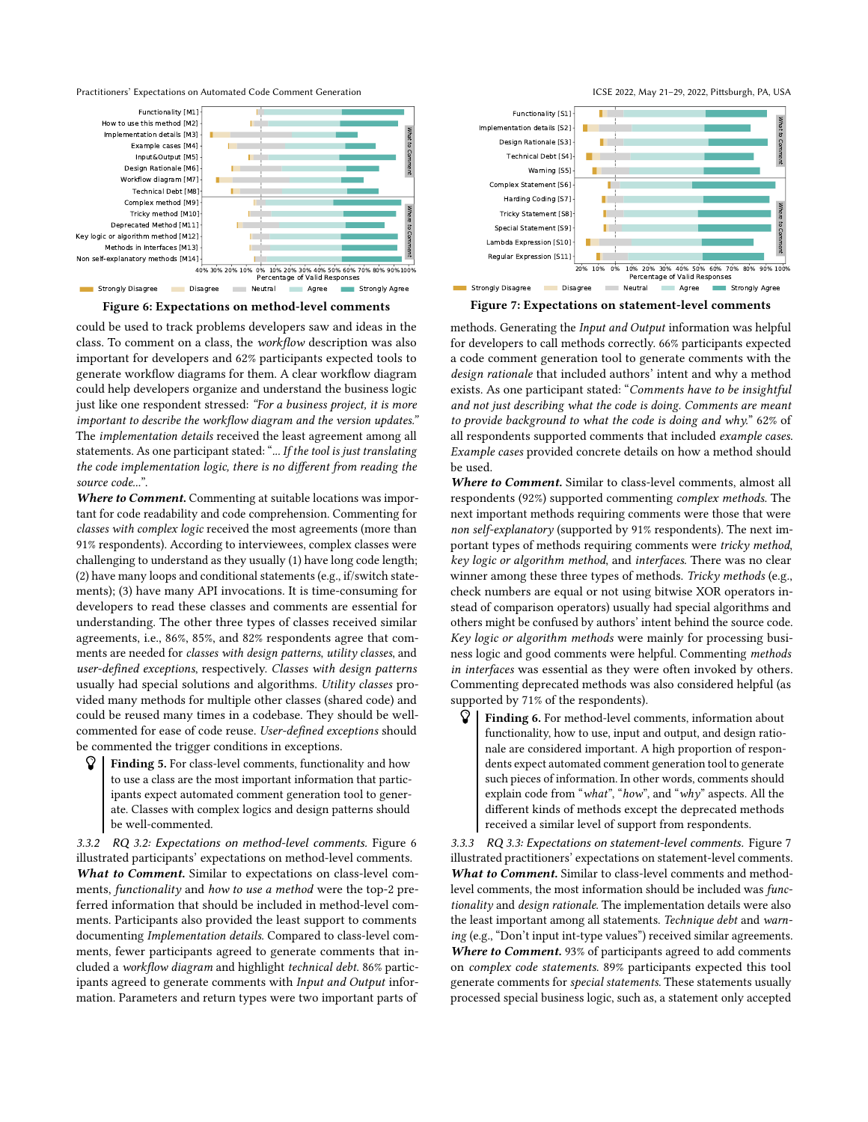<span id="page-6-0"></span>

Figure 6: Expectations on method-level comments

could be used to track problems developers saw and ideas in the class. To comment on a class, the workflow description was also important for developers and 62% participants expected tools to generate workflow diagrams for them. A clear workflow diagram could help developers organize and understand the business logic just like one respondent stressed: "For a business project, it is more important to describe the workflow diagram and the version updates." The implementation details received the least agreement among all statements. As one participant stated: "... If the tool is just translating the code implementation logic, there is no different from reading the source code...".

Where to Comment. Commenting at suitable locations was important for code readability and code comprehension. Commenting for classes with complex logic received the most agreements (more than 91% respondents). According to interviewees, complex classes were challenging to understand as they usually (1) have long code length; (2) have many loops and conditional statements (e.g., if/switch statements); (3) have many API invocations. It is time-consuming for developers to read these classes and comments are essential for understanding. The other three types of classes received similar agreements, i.e., 86%, 85%, and 82% respondents agree that comments are needed for classes with design patterns, utility classes, and user-defined exceptions, respectively. Classes with design patterns usually had special solutions and algorithms. Utility classes provided many methods for multiple other classes (shared code) and could be reused many times in a codebase. They should be wellcommented for ease of code reuse. User-defined exceptions should be commented the trigger conditions in exceptions.

 $\mathcal{G}$  | Finding 5. For class-level comments, functionality and how to use a class are the most important information that participants expect automated comment generation tool to generate. Classes with complex logics and design patterns should be well-commented.

3.3.2 RQ 3.2: Expectations on method-level comments. Figure [6](#page-6-0) illustrated participants' expectations on method-level comments. What to Comment. Similar to expectations on class-level comments, functionality and how to use a method were the top-2 preferred information that should be included in method-level comments. Participants also provided the least support to comments documenting Implementation details. Compared to class-level comments, fewer participants agreed to generate comments that included a workflow diagram and highlight technical debt. 86% participants agreed to generate comments with Input and Output information. Parameters and return types were two important parts of

<span id="page-6-1"></span>

methods. Generating the Input and Output information was helpful for developers to call methods correctly. 66% participants expected a code comment generation tool to generate comments with the design rationale that included authors' intent and why a method exists. As one participant stated: "Comments have to be insightful and not just describing what the code is doing. Comments are meant to provide background to what the code is doing and why." 62% of all respondents supported comments that included example cases. Example cases provided concrete details on how a method should be used.

Where to Comment. Similar to class-level comments, almost all respondents (92%) supported commenting complex methods. The next important methods requiring comments were those that were non self-explanatory (supported by 91% respondents). The next important types of methods requiring comments were tricky method, key logic or algorithm method, and interfaces. There was no clear winner among these three types of methods. Tricky methods (e.g., check numbers are equal or not using bitwise XOR operators instead of comparison operators) usually had special algorithms and others might be confused by authors' intent behind the source code. Key logic or algorithm methods were mainly for processing business logic and good comments were helpful. Commenting methods in interfaces was essential as they were often invoked by others. Commenting deprecated methods was also considered helpful (as supported by 71% of the respondents).

**P** Finding 6. For method-level comments, information about functionality, how to use, input and output, and design rationale are considered important. A high proportion of respondents expect automated comment generation tool to generate such pieces of information. In other words, comments should explain code from "what", "how", and "why" aspects. All the different kinds of methods except the deprecated methods received a similar level of support from respondents.

3.3.3 RQ 3.3: Expectations on statement-level comments. Figure [7](#page-6-1) illustrated practitioners' expectations on statement-level comments. What to Comment. Similar to class-level comments and methodlevel comments, the most information should be included was functionality and design rationale. The implementation details were also the least important among all statements. Technique debt and warning (e.g., "Don't input int-type values") received similar agreements. Where to Comment. 93% of participants agreed to add comments on complex code statements. 89% participants expected this tool generate comments for special statements. These statements usually processed special business logic, such as, a statement only accepted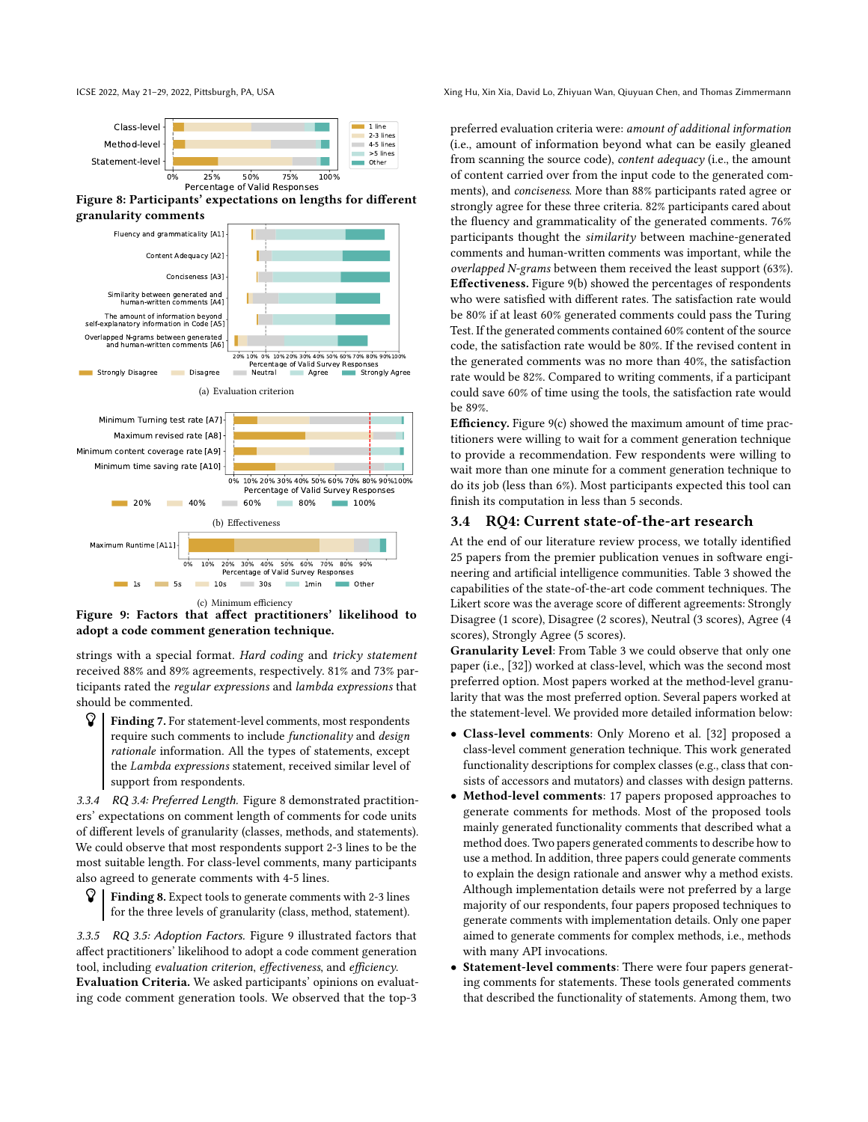<span id="page-7-1"></span>

Figure 8: Participants' expectations on lengths for different granularity comments

<span id="page-7-2"></span>

<span id="page-7-4"></span><span id="page-7-3"></span>Figure 9: Factors that affect practitioners' likelihood to adopt a code comment generation technique.

strings with a special format. Hard coding and tricky statement received 88% and 89% agreements, respectively. 81% and 73% participants rated the regular expressions and lambda expressions that should be commented.

 $\mathcal{G}$  | Finding 7. For statement-level comments, most respondents require such comments to include functionality and design rationale information. All the types of statements, except the Lambda expressions statement, received similar level of support from respondents.

3.3.4 RQ 3.4: Preferred Length. Figure [8](#page-7-1) demonstrated practitioners' expectations on comment length of comments for code units of different levels of granularity (classes, methods, and statements). We could observe that most respondents support 2-3 lines to be the most suitable length. For class-level comments, many participants also agreed to generate comments with 4-5 lines.

 $\mathcal{G}$  | Finding 8. Expect tools to generate comments with 2-3 lines for the three levels of granularity (class, method, statement).

3.3.5 RQ 3.5: Adoption Factors. Figure [9](#page-7-2) illustrated factors that affect practitioners' likelihood to adopt a code comment generation tool, including evaluation criterion, effectiveness, and efficiency. Evaluation Criteria. We asked participants' opinions on evaluating code comment generation tools. We observed that the top-3

ICSE 2022, May 21-29, 2022, Pittsburgh, PA, USA Xing Hu, Xin Xia, David Lo, Zhiyuan Wan, Qiuyuan Chen, and Thomas Zimmermann

preferred evaluation criteria were: amount of additional information (i.e., amount of information beyond what can be easily gleaned from scanning the source code), content adequacy (i.e., the amount of content carried over from the input code to the generated comments), and conciseness. More than 88% participants rated agree or strongly agree for these three criteria. 82% participants cared about the fluency and grammaticality of the generated comments. 76% participants thought the similarity between machine-generated comments and human-written comments was important, while the overlapped N-grams between them received the least support (63%). Effectiveness. Figure [9\(b\)](#page-7-3) showed the percentages of respondents who were satisfied with different rates. The satisfaction rate would be 80% if at least 60% generated comments could pass the Turing Test. If the generated comments contained 60% content of the source code, the satisfaction rate would be 80%. If the revised content in the generated comments was no more than 40%, the satisfaction rate would be 82%. Compared to writing comments, if a participant could save 60% of time using the tools, the satisfaction rate would be 89%.

Efficiency. Figure [9\(c\)](#page-7-4) showed the maximum amount of time practitioners were willing to wait for a comment generation technique to provide a recommendation. Few respondents were willing to wait more than one minute for a comment generation technique to do its job (less than 6%). Most participants expected this tool can finish its computation in less than 5 seconds.

### <span id="page-7-0"></span>3.4 RQ4: Current state-of-the-art research

At the end of our literature review process, we totally identified 25 papers from the premier publication venues in software engineering and artificial intelligence communities. Table [3](#page-8-1) showed the capabilities of the state-of-the-art code comment techniques. The Likert score was the average score of different agreements: Strongly Disagree (1 score), Disagree (2 scores), Neutral (3 scores), Agree (4 scores), Strongly Agree (5 scores).

Granularity Level: From Table [3](#page-8-1) we could observe that only one paper (i.e., [\[32\]](#page-11-7)) worked at class-level, which was the second most preferred option. Most papers worked at the method-level granularity that was the most preferred option. Several papers worked at the statement-level. We provided more detailed information below:

- Class-level comments: Only Moreno et al. [\[32\]](#page-11-7) proposed a class-level comment generation technique. This work generated functionality descriptions for complex classes (e.g., class that consists of accessors and mutators) and classes with design patterns.
- Method-level comments: 17 papers proposed approaches to generate comments for methods. Most of the proposed tools mainly generated functionality comments that described what a method does. Two papers generated comments to describe how to use a method. In addition, three papers could generate comments to explain the design rationale and answer why a method exists. Although implementation details were not preferred by a large majority of our respondents, four papers proposed techniques to generate comments with implementation details. Only one paper aimed to generate comments for complex methods, i.e., methods with many API invocations.
- Statement-level comments: There were four papers generating comments for statements. These tools generated comments that described the functionality of statements. Among them, two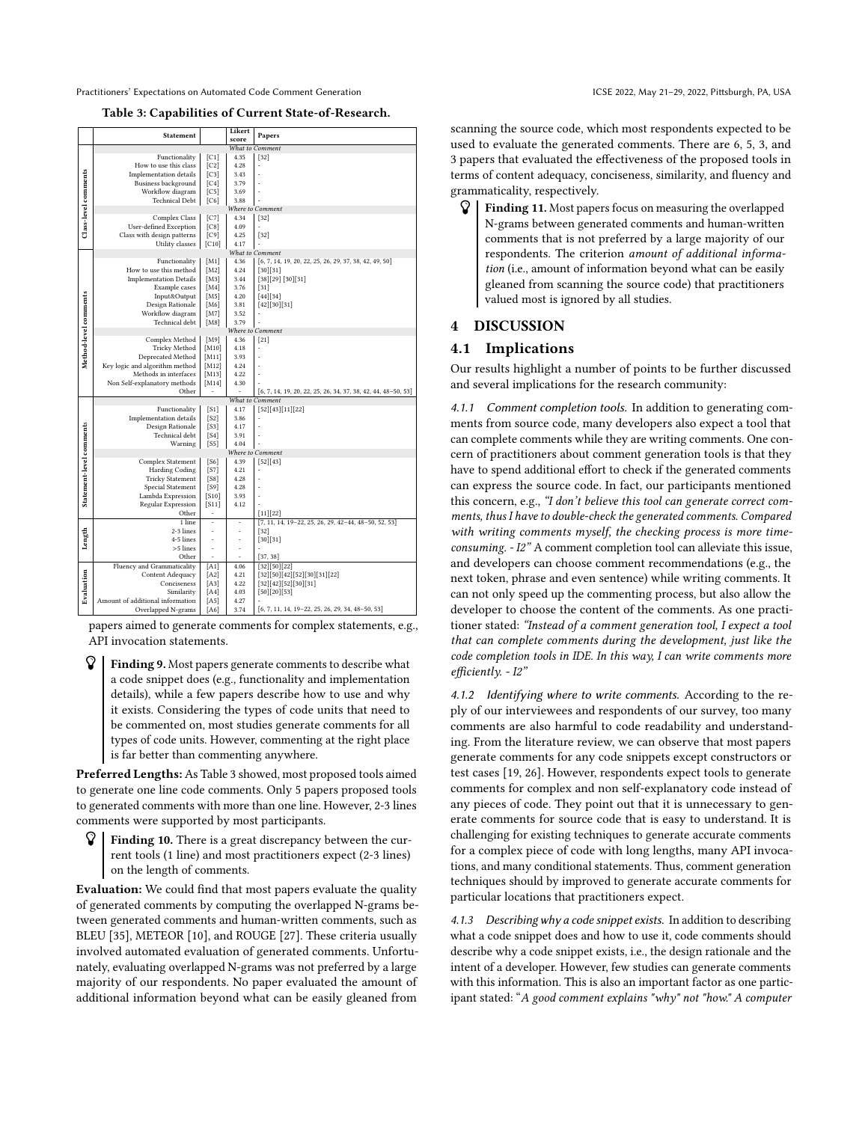Table 3: Capabilities of Current State-of-Research.

<span id="page-8-1"></span>

|                          |                                              |                    | Likert       |                                                                 |  |  |  |
|--------------------------|----------------------------------------------|--------------------|--------------|-----------------------------------------------------------------|--|--|--|
|                          | <b>Statement</b>                             |                    | score        | Papers                                                          |  |  |  |
|                          | What to Comment                              |                    |              |                                                                 |  |  |  |
|                          | Functionality                                | [C1]               | 4.35         | $[32]$                                                          |  |  |  |
|                          | How to use this class                        | [C2]               | 4.28         |                                                                 |  |  |  |
|                          | <b>Implementation</b> details                | [C3]               | 3.43         |                                                                 |  |  |  |
|                          | Business background                          | [C4]               | 3.79         |                                                                 |  |  |  |
|                          | Workflow diagram                             | [C5]               | 3.69         |                                                                 |  |  |  |
|                          | <b>Technical Debt</b>                        | [C6]               | 3.88         |                                                                 |  |  |  |
|                          | Where to Comment                             |                    |              |                                                                 |  |  |  |
| Class-level comments     | Complex Class                                | $[{\rm C}7]$       | 4.34         | $[32]$                                                          |  |  |  |
|                          | User-defined Exception                       | [C8]               | 4.09         |                                                                 |  |  |  |
|                          | Class with design patterns                   | [C9]               | 4.25         | $[32]$                                                          |  |  |  |
|                          | Utility classes                              | [C10]              | 4.17         |                                                                 |  |  |  |
|                          |                                              |                    |              | What to Comment                                                 |  |  |  |
|                          | Functionality                                | [M1]               | 4.36         | $[6, 7, 14, 19, 20, 22, 25, 26, 29, 37, 38, 42, 49, 50]$        |  |  |  |
|                          | How to use this method                       | [M2]               | 4.24         | $[30][31]$                                                      |  |  |  |
|                          | <b>Implementation Details</b>                | [M3]               | 3.44         | [38][29][30][31]                                                |  |  |  |
|                          | Example cases                                | [M4]               | 3.76         | $[31]$                                                          |  |  |  |
|                          | Input&Output                                 | [M5]               | 4.20         | [44][34]                                                        |  |  |  |
|                          | Design Rationale                             | [M6]               | 3.81<br>3.52 | [42][30][31]                                                    |  |  |  |
|                          | Workflow diagram<br>Technical debt           | [M7]<br>[M8]       | 3.79         |                                                                 |  |  |  |
| Method-level comments    |                                              |                    |              | Where to Comment                                                |  |  |  |
|                          | Complex Method                               | [M9]               | 4.36         | $[21]$                                                          |  |  |  |
|                          | <b>Tricky Method</b>                         | [M10]              | 4.18         |                                                                 |  |  |  |
|                          | Deprecated Method                            | [M11]              | 3.93         | Į,                                                              |  |  |  |
|                          | Key logic and algorithm method               | [M12]              | 4.24         |                                                                 |  |  |  |
|                          | Methods in interfaces                        | [M13]              | 4.22         | š                                                               |  |  |  |
|                          | Non Self-explanatory methods                 | [M14]              | 4.30         |                                                                 |  |  |  |
|                          | Other                                        |                    |              | $[6, 7, 14, 19, 20, 22, 25, 26, 34, 37, 38, 42, 44, 48-50, 53]$ |  |  |  |
|                          |                                              |                    |              | What to Comment                                                 |  |  |  |
|                          | Functionality                                | [S1]               | 4.17         | $[52][43][11][22] \label{eq:21}$                                |  |  |  |
|                          | <b>Implementation</b> details                | [S2]               | 3.86         |                                                                 |  |  |  |
|                          | Design Rationale                             | [S3]               | 4.17         | Į,                                                              |  |  |  |
|                          | Technical debt                               | [S4]               | 3.91         |                                                                 |  |  |  |
|                          | Warning                                      | [SS]               | 4.04         |                                                                 |  |  |  |
| Statement-level comments |                                              |                    |              | Where to Comment                                                |  |  |  |
|                          | Complex Statement                            | [S6]               | 4.39         | $[52][43]$                                                      |  |  |  |
|                          | <b>Harding Coding</b>                        | [S7]               | 4.21<br>4.28 |                                                                 |  |  |  |
|                          | <b>Tricky Statement</b><br>Special Statement | $[$ S8 $]$<br>[S9] | 4.28         | š                                                               |  |  |  |
|                          | Lambda Expression                            | [S10]              | 3.93         |                                                                 |  |  |  |
|                          | <b>Regular Expression</b>                    | [S11]              | 4.12         |                                                                 |  |  |  |
|                          | Other                                        | ÷                  |              | [11] [22]                                                       |  |  |  |
|                          | 1 line                                       |                    |              | $[7, 11, 14, 19-22, 25, 26, 29, 42-44, 48-50, 52, 53]$          |  |  |  |
|                          | 2-3 lines                                    | ä,                 | ä,           | $[32]$                                                          |  |  |  |
|                          | 4-5 lines                                    | í,                 | ä,           | $[30][31]$                                                      |  |  |  |
| Length                   | >5 lines                                     | ä,                 | ä,           |                                                                 |  |  |  |
|                          | Other                                        | ä,                 | ä,           | [37, 38]                                                        |  |  |  |
|                          | Fluency and Grammaticality                   | [A1]               | 4.06         | $[32][50][22]$                                                  |  |  |  |
|                          | Content Adequacy                             | [A2]               | 4.21         | [32][50][42][52][30][31][22]                                    |  |  |  |
|                          | Conciseness                                  | [A3]               | 4.22         | $[32][42][52][30][31]$                                          |  |  |  |
| Evaluation               | Similarity                                   | [A4]               | 4.03         | [50][20][53]                                                    |  |  |  |
|                          | Amount of additional information             | $[$ A5 $]$         | 4.27         |                                                                 |  |  |  |
|                          | Overlapped N-grams                           | [A6]               | 3.74         | $[6, 7, 11, 14, 19-22, 25, 26, 29, 34, 48-50, 53]$              |  |  |  |

papers aimed to generate comments for complex statements, e.g., API invocation statements.

 Finding 9. Most papers generate comments to describe what a code snippet does (e.g., functionality and implementation details), while a few papers describe how to use and why it exists. Considering the types of code units that need to be commented on, most studies generate comments for all types of code units. However, commenting at the right place is far better than commenting anywhere.

Preferred Lengths: As Table [3](#page-8-1) showed, most proposed tools aimed to generate one line code comments. Only 5 papers proposed tools to generated comments with more than one line. However, 2-3 lines comments were supported by most participants.

 $\mathcal{G}$  | Finding 10. There is a great discrepancy between the current tools (1 line) and most practitioners expect (2-3 lines) on the length of comments.

Evaluation: We could find that most papers evaluate the quality of generated comments by computing the overlapped N-grams between generated comments and human-written comments, such as BLEU [\[35\]](#page-11-31), METEOR [\[10\]](#page-11-32), and ROUGE [\[27\]](#page-11-33). These criteria usually involved automated evaluation of generated comments. Unfortunately, evaluating overlapped N-grams was not preferred by a large majority of our respondents. No paper evaluated the amount of additional information beyond what can be easily gleaned from

scanning the source code, which most respondents expected to be used to evaluate the generated comments. There are 6, 5, 3, and 3 papers that evaluated the effectiveness of the proposed tools in terms of content adequacy, conciseness, similarity, and fluency and grammaticality, respectively.

 $\mathcal{G}$  | Finding 11. Most papers focus on measuring the overlapped N-grams between generated comments and human-written comments that is not preferred by a large majority of our respondents. The criterion amount of additional information (i.e., amount of information beyond what can be easily gleaned from scanning the source code) that practitioners valued most is ignored by all studies.

# <span id="page-8-0"></span>4 DISCUSSION

# 4.1 Implications

Our results highlight a number of points to be further discussed and several implications for the research community:

4.1.1 Comment completion tools. In addition to generating comments from source code, many developers also expect a tool that can complete comments while they are writing comments. One concern of practitioners about comment generation tools is that they have to spend additional effort to check if the generated comments can express the source code. In fact, our participants mentioned this concern, e.g., "I don't believe this tool can generate correct comments, thus I have to double-check the generated comments. Compared with writing comments myself, the checking process is more timeconsuming. - I2" A comment completion tool can alleviate this issue, and developers can choose comment recommendations (e.g., the next token, phrase and even sentence) while writing comments. It can not only speed up the commenting process, but also allow the developer to choose the content of the comments. As one practitioner stated: "Instead of a comment generation tool, I expect a tool that can complete comments during the development, just like the code completion tools in IDE. In this way, I can write comments more efficiently. - I2"

4.1.2 Identifying where to write comments. According to the reply of our interviewees and respondents of our survey, too many comments are also harmful to code readability and understanding. From the literature review, we can observe that most papers generate comments for any code snippets except constructors or test cases [\[19,](#page-11-4) [26\]](#page-11-22). However, respondents expect tools to generate comments for complex and non self-explanatory code instead of any pieces of code. They point out that it is unnecessary to generate comments for source code that is easy to understand. It is challenging for existing techniques to generate accurate comments for a complex piece of code with long lengths, many API invocations, and many conditional statements. Thus, comment generation techniques should by improved to generate accurate comments for particular locations that practitioners expect.

4.1.3 Describing why a code snippet exists. In addition to describing what a code snippet does and how to use it, code comments should describe why a code snippet exists, i.e., the design rationale and the intent of a developer. However, few studies can generate comments with this information. This is also an important factor as one participant stated: "A good comment explains "why" not "how." A computer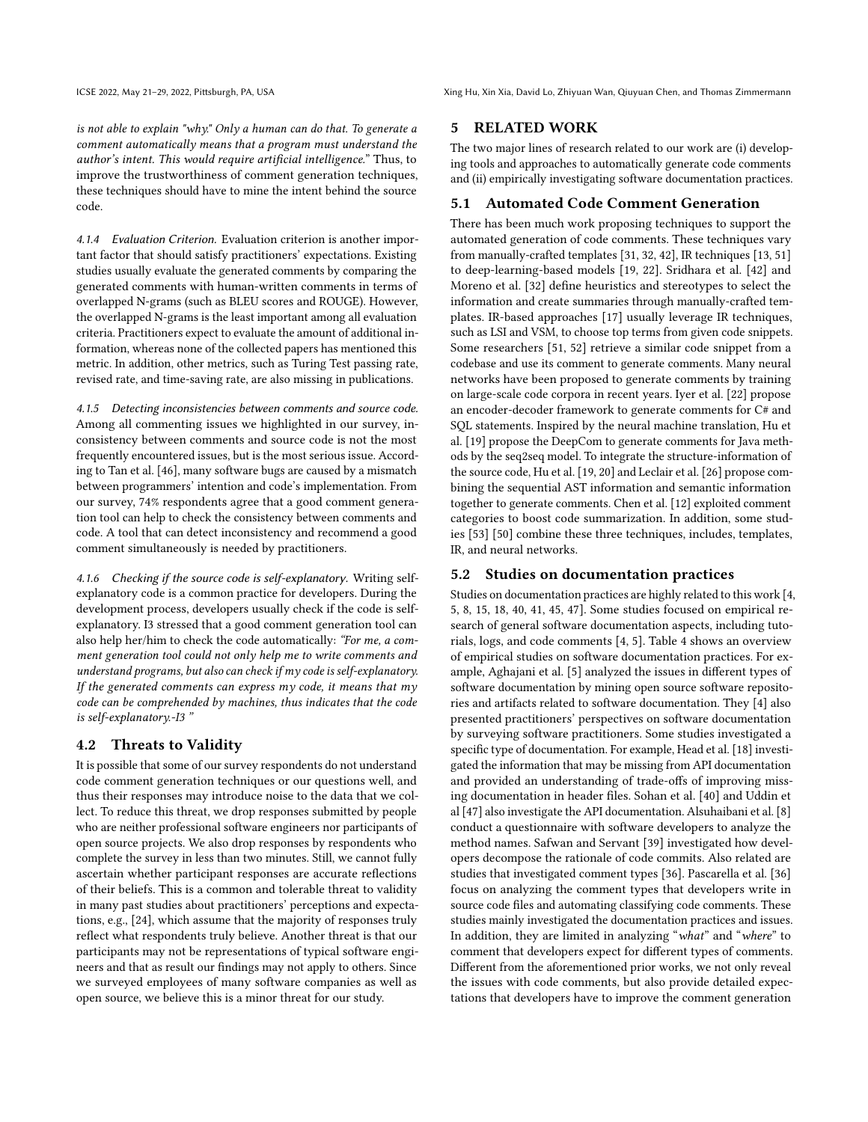ICSE 2022, May 21-29, 2022, Pittsburgh, PA, USA Xing Hu, Xin Xia, David Lo, Zhiyuan Wan, Qiuyuan Chen, and Thomas Zimmermann

is not able to explain "why." Only a human can do that. To generate a comment automatically means that a program must understand the author's intent. This would require artificial intelligence." Thus, to improve the trustworthiness of comment generation techniques, these techniques should have to mine the intent behind the source code.

4.1.4 Evaluation Criterion. Evaluation criterion is another important factor that should satisfy practitioners' expectations. Existing studies usually evaluate the generated comments by comparing the generated comments with human-written comments in terms of overlapped N-grams (such as BLEU scores and ROUGE). However, the overlapped N-grams is the least important among all evaluation criteria. Practitioners expect to evaluate the amount of additional information, whereas none of the collected papers has mentioned this metric. In addition, other metrics, such as Turing Test passing rate, revised rate, and time-saving rate, are also missing in publications.

4.1.5 Detecting inconsistencies between comments and source code. Among all commenting issues we highlighted in our survey, inconsistency between comments and source code is not the most frequently encountered issues, but is the most serious issue. According to Tan et al. [\[46\]](#page-12-7), many software bugs are caused by a mismatch between programmers' intention and code's implementation. From our survey, 74% respondents agree that a good comment generation tool can help to check the consistency between comments and code. A tool that can detect inconsistency and recommend a good comment simultaneously is needed by practitioners.

4.1.6 Checking if the source code is self-explanatory. Writing selfexplanatory code is a common practice for developers. During the development process, developers usually check if the code is selfexplanatory. I3 stressed that a good comment generation tool can also help her/him to check the code automatically: "For me, a comment generation tool could not only help me to write comments and understand programs, but also can check if my code is self-explanatory. If the generated comments can express my code, it means that my code can be comprehended by machines, thus indicates that the code is self-explanatory.-I3 "

# 4.2 Threats to Validity

It is possible that some of our survey respondents do not understand code comment generation techniques or our questions well, and thus their responses may introduce noise to the data that we collect. To reduce this threat, we drop responses submitted by people who are neither professional software engineers nor participants of open source projects. We also drop responses by respondents who complete the survey in less than two minutes. Still, we cannot fully ascertain whether participant responses are accurate reflections of their beliefs. This is a common and tolerable threat to validity in many past studies about practitioners' perceptions and expectations, e.g., [\[24\]](#page-11-34), which assume that the majority of responses truly reflect what respondents truly believe. Another threat is that our participants may not be representations of typical software engineers and that as result our findings may not apply to others. Since we surveyed employees of many software companies as well as open source, we believe this is a minor threat for our study.

# <span id="page-9-0"></span>5 RELATED WORK

The two major lines of research related to our work are (i) developing tools and approaches to automatically generate code comments and (ii) empirically investigating software documentation practices.

# 5.1 Automated Code Comment Generation

There has been much work proposing techniques to support the automated generation of code comments. These techniques vary from manually-crafted templates [\[31,](#page-11-26) [32,](#page-11-7) [42\]](#page-11-8), IR techniques [\[13,](#page-11-2) [51\]](#page-12-2) to deep-learning-based models [\[19,](#page-11-4) [22\]](#page-11-6). Sridhara et al. [\[42\]](#page-11-8) and Moreno et al. [\[32\]](#page-11-7) define heuristics and stereotypes to select the information and create summaries through manually-crafted templates. IR-based approaches [\[17\]](#page-11-3) usually leverage IR techniques, such as LSI and VSM, to choose top terms from given code snippets. Some researchers [\[51,](#page-12-2) [52\]](#page-12-3) retrieve a similar code snippet from a codebase and use its comment to generate comments. Many neural networks have been proposed to generate comments by training on large-scale code corpora in recent years. Iyer et al. [\[22\]](#page-11-6) propose an encoder-decoder framework to generate comments for C# and SQL statements. Inspired by the neural machine translation, Hu et al. [\[19\]](#page-11-4) propose the DeepCom to generate comments for Java methods by the seq2seq model. To integrate the structure-information of the source code, Hu et al. [\[19,](#page-11-4) [20\]](#page-11-20) and Leclair et al. [\[26\]](#page-11-22) propose combining the sequential AST information and semantic information together to generate comments. Chen et al. [\[12\]](#page-11-35) exploited comment categories to boost code summarization. In addition, some studies [\[53\]](#page-12-6) [\[50\]](#page-12-4) combine these three techniques, includes, templates, IR, and neural networks.

## 5.2 Studies on documentation practices

Studies on documentation practices are highly related to this work [\[4,](#page-11-0) [5,](#page-11-15) [8,](#page-11-36) [15,](#page-11-37) [18,](#page-11-38) [40,](#page-11-39) [41,](#page-11-40) [45,](#page-11-1) [47\]](#page-12-8). Some studies focused on empirical research of general software documentation aspects, including tutorials, logs, and code comments [\[4,](#page-11-0) [5\]](#page-11-15). Table [4](#page-10-1) shows an overview of empirical studies on software documentation practices. For example, Aghajani et al. [\[5\]](#page-11-15) analyzed the issues in different types of software documentation by mining open source software repositories and artifacts related to software documentation. They [\[4\]](#page-11-0) also presented practitioners' perspectives on software documentation by surveying software practitioners. Some studies investigated a specific type of documentation. For example, Head et al. [\[18\]](#page-11-38) investigated the information that may be missing from API documentation and provided an understanding of trade-offs of improving missing documentation in header files. Sohan et al. [\[40\]](#page-11-39) and Uddin et al [\[47\]](#page-12-8) also investigate the API documentation. Alsuhaibani et al. [\[8\]](#page-11-36) conduct a questionnaire with software developers to analyze the method names. Safwan and Servant [\[39\]](#page-11-41) investigated how developers decompose the rationale of code commits. Also related are studies that investigated comment types [\[36\]](#page-11-42). Pascarella et al. [\[36\]](#page-11-42) focus on analyzing the comment types that developers write in source code files and automating classifying code comments. These studies mainly investigated the documentation practices and issues. In addition, they are limited in analyzing "what" and "where" to comment that developers expect for different types of comments. Different from the aforementioned prior works, we not only reveal the issues with code comments, but also provide detailed expectations that developers have to improve the comment generation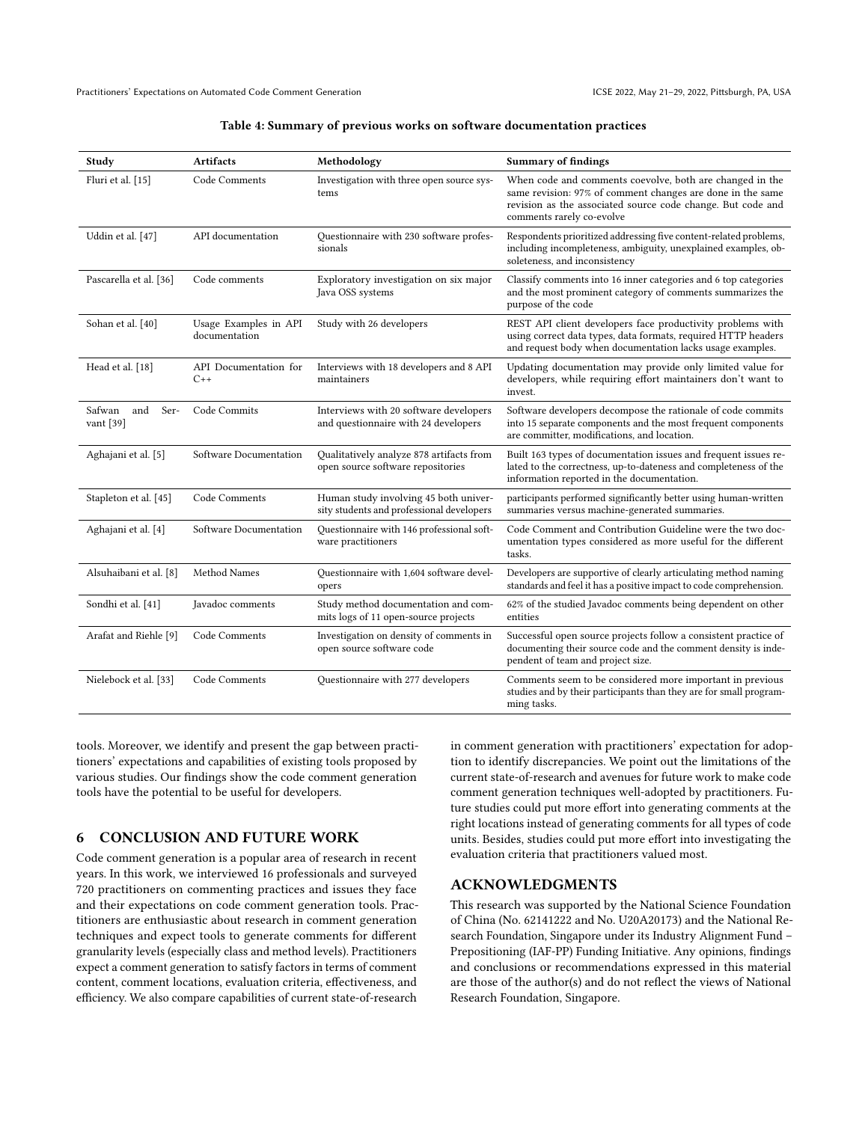| Table 4: Summary of previous works on software documentation practices |  |  |  |
|------------------------------------------------------------------------|--|--|--|
|                                                                        |  |  |  |

<span id="page-10-1"></span>

| Study                              | <b>Artifacts</b>                       | Methodology                                                                        | <b>Summary of findings</b>                                                                                                                                                                                         |
|------------------------------------|----------------------------------------|------------------------------------------------------------------------------------|--------------------------------------------------------------------------------------------------------------------------------------------------------------------------------------------------------------------|
| Fluri et al. [15]                  | Code Comments                          | Investigation with three open source sys-<br>tems                                  | When code and comments coevolve, both are changed in the<br>same revision: 97% of comment changes are done in the same<br>revision as the associated source code change. But code and<br>comments rarely co-evolve |
| Uddin et al. [47]                  | API documentation                      | Questionnaire with 230 software profes-<br>sionals                                 | Respondents prioritized addressing five content-related problems,<br>including incompleteness, ambiguity, unexplained examples, ob-<br>soleteness, and inconsistency                                               |
| Pascarella et al. [36]             | Code comments                          | Exploratory investigation on six major<br>Java OSS systems                         | Classify comments into 16 inner categories and 6 top categories<br>and the most prominent category of comments summarizes the<br>purpose of the code                                                               |
| Sohan et al. [40]                  | Usage Examples in API<br>documentation | Study with 26 developers                                                           | REST API client developers face productivity problems with<br>using correct data types, data formats, required HTTP headers<br>and request body when documentation lacks usage examples.                           |
| Head et al. [18]                   | API Documentation for<br>$C++$         | Interviews with 18 developers and 8 API<br>maintainers                             | Updating documentation may provide only limited value for<br>developers, while requiring effort maintainers don't want to<br>invest.                                                                               |
| and<br>Ser-<br>Safwan<br>vant [39] | Code Commits                           | Interviews with 20 software developers<br>and questionnaire with 24 developers     | Software developers decompose the rationale of code commits<br>into 15 separate components and the most frequent components<br>are committer, modifications, and location.                                         |
| Aghajani et al. [5]                | Software Documentation                 | Qualitatively analyze 878 artifacts from<br>open source software repositories      | Built 163 types of documentation issues and frequent issues re-<br>lated to the correctness, up-to-dateness and completeness of the<br>information reported in the documentation.                                  |
| Stapleton et al. [45]              | Code Comments                          | Human study involving 45 both univer-<br>sity students and professional developers | participants performed significantly better using human-written<br>summaries versus machine-generated summaries.                                                                                                   |
| Aghajani et al. [4]                | Software Documentation                 | Questionnaire with 146 professional soft-<br>ware practitioners                    | Code Comment and Contribution Guideline were the two doc-<br>umentation types considered as more useful for the different<br>tasks.                                                                                |
| Alsuhaibani et al. [8]             | Method Names                           | Questionnaire with 1,604 software devel-<br>opers                                  | Developers are supportive of clearly articulating method naming<br>standards and feel it has a positive impact to code comprehension.                                                                              |
| Sondhi et al. [41]                 | Javadoc comments                       | Study method documentation and com-<br>mits logs of 11 open-source projects        | 62% of the studied Javadoc comments being dependent on other<br>entities                                                                                                                                           |
| Arafat and Riehle [9]              | Code Comments                          | Investigation on density of comments in<br>open source software code               | Successful open source projects follow a consistent practice of<br>documenting their source code and the comment density is inde-<br>pendent of team and project size.                                             |
| Nielebock et al. [33]              | Code Comments                          | Questionnaire with 277 developers                                                  | Comments seem to be considered more important in previous<br>studies and by their participants than they are for small program-<br>ming tasks.                                                                     |

tools. Moreover, we identify and present the gap between practitioners' expectations and capabilities of existing tools proposed by various studies. Our findings show the code comment generation tools have the potential to be useful for developers.

### <span id="page-10-0"></span>6 CONCLUSION AND FUTURE WORK

Code comment generation is a popular area of research in recent years. In this work, we interviewed 16 professionals and surveyed 720 practitioners on commenting practices and issues they face and their expectations on code comment generation tools. Practitioners are enthusiastic about research in comment generation techniques and expect tools to generate comments for different granularity levels (especially class and method levels). Practitioners expect a comment generation to satisfy factors in terms of comment content, comment locations, evaluation criteria, effectiveness, and efficiency. We also compare capabilities of current state-of-research

in comment generation with practitioners' expectation for adoption to identify discrepancies. We point out the limitations of the current state-of-research and avenues for future work to make code comment generation techniques well-adopted by practitioners. Future studies could put more effort into generating comments at the right locations instead of generating comments for all types of code units. Besides, studies could put more effort into investigating the evaluation criteria that practitioners valued most.

# ACKNOWLEDGMENTS

This research was supported by the National Science Foundation of China (No. 62141222 and No. U20A20173) and the National Research Foundation, Singapore under its Industry Alignment Fund – Prepositioning (IAF-PP) Funding Initiative. Any opinions, findings and conclusions or recommendations expressed in this material are those of the author(s) and do not reflect the views of National Research Foundation, Singapore.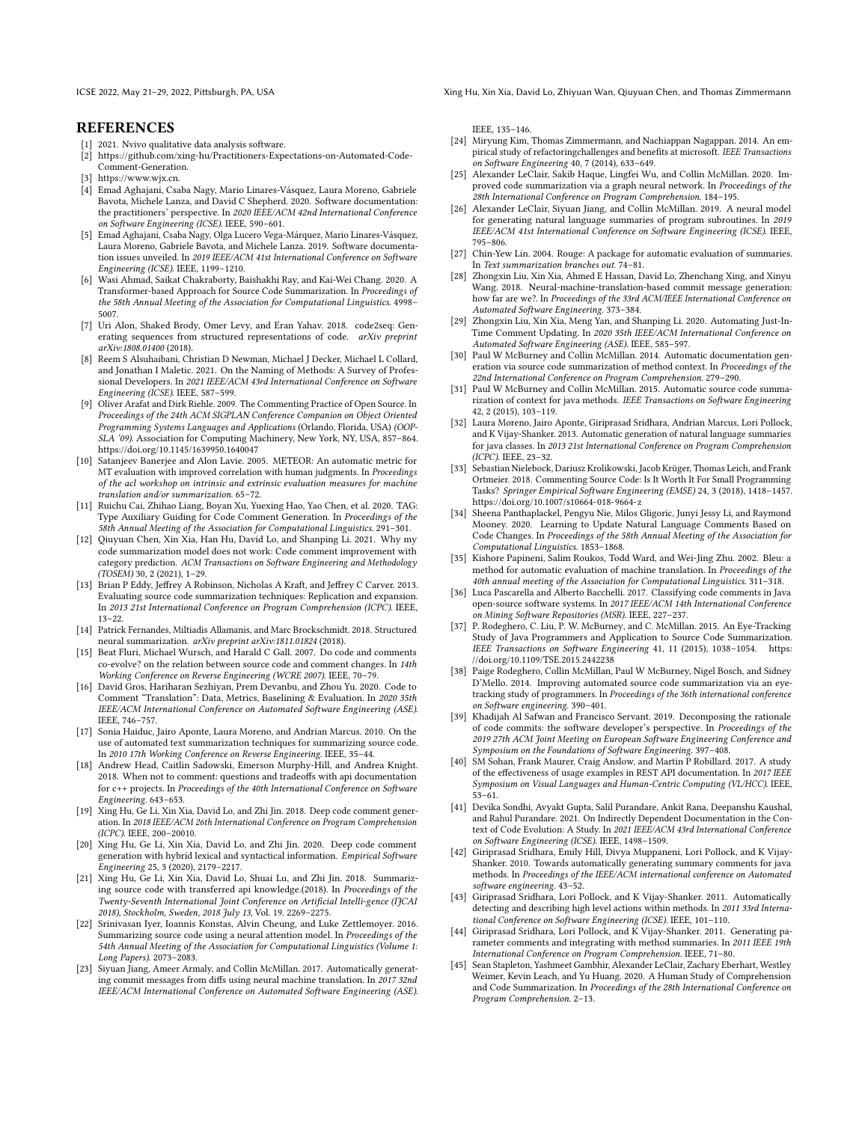ICSE 2022, May 21-29, 2022, Pittsburgh, PA, USA Xing Hu, Xin Xia, David Lo, Zhiyuan Wan, Qiuyuan Chen, and Thomas Zimmermann

### **REFERENCES**

- <span id="page-11-10"></span>[1] 2021. Nvivo qualitative data analysis software.
- <span id="page-11-12"></span>[2] https://github.com/xing-hu/Practitioners-Expectations-on-Automated-Code-Comment-Generation.
- <span id="page-11-11"></span>[3] https://www.wjx.cn
- <span id="page-11-0"></span>[4] Emad Aghajani, Csaba Nagy, Mario Linares-Vásquez, Laura Moreno, Gabriele Bavota, Michele Lanza, and David C Shepherd. 2020. Software documentation: the practitioners' perspective. In 2020 IEEE/ACM 42nd International Conference on Software Engineering (ICSE). IEEE, 590–601.
- <span id="page-11-15"></span>[5] Emad Aghajani, Csaba Nagy, Olga Lucero Vega-Márquez, Mario Linares-Vásquez, Laura Moreno, Gabriele Bavota, and Michele Lanza. 2019. Software documentation issues unveiled. In 2019 IEEE/ACM 41st International Conference on Software Engineering (ICSE). IEEE, 1199–1210.
- <span id="page-11-17"></span>[6] Wasi Ahmad, Saikat Chakraborty, Baishakhi Ray, and Kai-Wei Chang. 2020. A Transformer-based Approach for Source Code Summarization. In Proceedings of the 58th Annual Meeting of the Association for Computational Linguistics. 4998– 5007.
- <span id="page-11-18"></span>[7] Uri Alon, Shaked Brody, Omer Levy, and Eran Yahav. 2018. code2seq: Generating sequences from structured representations of code. arXiv preprint arXiv:1808.01400 (2018).
- <span id="page-11-36"></span>[8] Reem S Alsuhaibani, Christian D Newman, Michael J Decker, Michael L Collard, and Jonathan I Maletic. 2021. On the Naming of Methods: A Survey of Professional Developers. In 2021 IEEE/ACM 43rd International Conference on Software Engineering (ICSE). IEEE, 587–599.
- <span id="page-11-43"></span>[9] Oliver Arafat and Dirk Riehle. 2009. The Commenting Practice of Open Source. In Proceedings of the 24th ACM SIGPLAN Conference Companion on Object Oriented Programming Systems Languages and Applications (Orlando, Florida, USA) (OOP-SLA '09). Association for Computing Machinery, New York, NY, USA, 857–864. <https://doi.org/10.1145/1639950.1640047>
- <span id="page-11-32"></span>[10] Satanjeev Banerjee and Alon Lavie. 2005. METEOR: An automatic metric for MT evaluation with improved correlation with human judgments. In Proceedings of the acl workshop on intrinsic and extrinsic evaluation measures for machine translation and/or summarization. 65–72.
- <span id="page-11-30"></span>[11] Ruichu Cai, Zhihao Liang, Boyan Xu, Yuexing Hao, Yao Chen, et al. 2020. TAG: Type Auxiliary Guiding for Code Comment Generation. In Proceedings of the 58th Annual Meeting of the Association for Computational Linguistics. 291–301.
- <span id="page-11-35"></span>[12] Qiuyuan Chen, Xin Xia, Han Hu, David Lo, and Shanping Li. 2021. Why my code summarization model does not work: Code comment improvement with category prediction. ACM Transactions on Software Engineering and Methodology (TOSEM) 30, 2 (2021), 1–29.
- <span id="page-11-2"></span>[13] Brian P Eddy, Jeffrey A Robinson, Nicholas A Kraft, and Jeffrey C Carver. 2013. Evaluating source code summarization techniques: Replication and expansion. In 2013 21st International Conference on Program Comprehension (ICPC). IEEE, 13–22.
- <span id="page-11-19"></span>[14] Patrick Fernandes, Miltiadis Allamanis, and Marc Brockschmidt. 2018. Structured neural summarization. arXiv preprint arXiv:1811.01824 (2018).
- <span id="page-11-37"></span>[15] Beat Fluri, Michael Wursch, and Harald C Gall. 2007. Do code and comments co-evolve? on the relation between source code and comment changes. In 14th Working Conference on Reverse Engineering (WCRE 2007). IEEE, 70–79.
- <span id="page-11-9"></span>[16] David Gros, Hariharan Sezhiyan, Prem Devanbu, and Zhou Yu. 2020. Code to Comment "Translation": Data, Metrics, Baselining & Evaluation. In 2020 35th IEEE/ACM International Conference on Automated Software Engineering (ASE). IEEE, 746–757.
- <span id="page-11-3"></span>[17] Sonia Haiduc, Jairo Aponte, Laura Moreno, and Andrian Marcus. 2010. On the use of automated text summarization techniques for summarizing source code. In 2010 17th Working Conference on Reverse Engineering. IEEE, 35–44.
- <span id="page-11-38"></span>[18] Andrew Head, Caitlin Sadowski, Emerson Murphy-Hill, and Andrea Knight. 2018. When not to comment: questions and tradeoffs with api documentation for c++ projects. In Proceedings of the 40th International Conference on Software Engineering. 643–653.
- <span id="page-11-4"></span>[19] Xing Hu, Ge Li, Xin Xia, David Lo, and Zhi Jin. 2018. Deep code comment generation. In 2018 IEEE/ACM 26th International Conference on Program Comprehension (ICPC). IEEE, 200–20010.
- <span id="page-11-20"></span>[20] Xing Hu, Ge Li, Xin Xia, David Lo, and Zhi Jin. 2020. Deep code comment generation with hybrid lexical and syntactical information. Empirical Software Engineering 25, 3 (2020), 2179–2217.
- <span id="page-11-5"></span>[21] Xing Hu, Ge Li, Xin Xia, David Lo, Shuai Lu, and Zhi Jin. 2018. Summarizing source code with transferred api knowledge.(2018). In Proceedings of the Twenty-Seventh International Joint Conference on Artificial Intelli-gence (IJCAI 2018), Stockholm, Sweden, 2018 July 13, Vol. 19. 2269–2275.
- <span id="page-11-6"></span>[22] Srinivasan Iyer, Ioannis Konstas, Alvin Cheung, and Luke Zettlemoyer. 2016. Summarizing source code using a neural attention model. In Proceedings of the 54th Annual Meeting of the Association for Computational Linguistics (Volume 1: Long Papers). 2073–2083.
- <span id="page-11-13"></span>[23] Siyuan Jiang, Ameer Armaly, and Collin McMillan. 2017. Automatically generating commit messages from diffs using neural machine translation. In 2017 32nd IEEE/ACM International Conference on Automated Software Engineering (ASE).

IEEE, 135–146.

- <span id="page-11-34"></span>[24] Miryung Kim, Thomas Zimmermann, and Nachiappan Nagappan. 2014. An empirical study of refactoringchallenges and benefits at microsoft. IEEE Transactions on Software Engineering 40, 7 (2014), 633–649.
- <span id="page-11-21"></span>[25] Alexander LeClair, Sakib Haque, Lingfei Wu, and Collin McMillan. 2020. Improved code summarization via a graph neural network. In Proceedings of the 28th International Conference on Program Comprehension. 184–195.
- <span id="page-11-22"></span>[26] Alexander LeClair, Siyuan Jiang, and Collin McMillan. 2019. A neural model for generating natural language summaries of program subroutines. In 2019 IEEE/ACM 41st International Conference on Software Engineering (ICSE). IEEE, 795–806.
- <span id="page-11-33"></span>[27] Chin-Yew Lin. 2004. Rouge: A package for automatic evaluation of summaries. In Text summarization branches out. 74–81.
- <span id="page-11-14"></span>[28] Zhongxin Liu, Xin Xia, Ahmed E Hassan, David Lo, Zhenchang Xing, and Xinyu Wang. 2018. Neural-machine-translation-based commit message generation: how far are we?. In Proceedings of the 33rd ACM/IEEE International Conference on Automated Software Engineering. 373–384.
- <span id="page-11-16"></span>[29] Zhongxin Liu, Xin Xia, Meng Yan, and Shanping Li. 2020. Automating Just-In-Time Comment Updating. In 2020 35th IEEE/ACM International Conference on Automated Software Engineering (ASE). IEEE, 585–597.
- <span id="page-11-25"></span>[30] Paul W McBurney and Collin McMillan. 2014. Automatic documentation generation via source code summarization of method context. In Proceedings of the 22nd International Conference on Program Comprehension. 279–290.
- <span id="page-11-26"></span>[31] Paul W McBurney and Collin McMillan. 2015. Automatic source code summarization of context for java methods. IEEE Transactions on Software Engineering 42, 2 (2015), 103–119.
- <span id="page-11-7"></span>[32] Laura Moreno, Jairo Aponte, Giriprasad Sridhara, Andrian Marcus, Lori Pollock, and K Vijay-Shanker. 2013. Automatic generation of natural language summaries for java classes. In 2013 21st International Conference on Program Comprehension (ICPC). IEEE, 23–32.
- <span id="page-11-44"></span>[33] Sebastian Nielebock, Dariusz Krolikowski, Jacob Krüger, Thomas Leich, and Frank Ortmeier. 2018. Commenting Source Code: Is It Worth It For Small Programming Tasks? Springer Empirical Software Engineering (EMSE) 24, 3 (2018), 1418–1457. <https://doi.org/10.1007/s10664-018-9664-z>
- <span id="page-11-28"></span>[34] Sheena Panthaplackel, Pengyu Nie, Milos Gligoric, Junyi Jessy Li, and Raymond Mooney. 2020. Learning to Update Natural Language Comments Based on Code Changes. In Proceedings of the 58th Annual Meeting of the Association for Computational Linguistics. 1853–1868.
- <span id="page-11-31"></span>[35] Kishore Papineni, Salim Roukos, Todd Ward, and Wei-Jing Zhu. 2002. Bleu: a method for automatic evaluation of machine translation. In Proceedings of the 40th annual meeting of the Association for Computational Linguistics. 311–318.
- <span id="page-11-42"></span>[36] Luca Pascarella and Alberto Bacchelli. 2017. Classifying code comments in Java open-source software systems. In 2017 IEEE/ACM 14th International Conference on Mining Software Repositories (MSR). IEEE, 227–237.
- <span id="page-11-23"></span>[37] P. Rodeghero, C. Liu, P. W. McBurney, and C. McMillan. 2015. An Eye-Tracking Study of Java Programmers and Application to Source Code Summarization. IEEE Transactions on Software Engineering 41, 11 (2015), 1038–1054. [https:](https://doi.org/10.1109/TSE.2015.2442238) [//doi.org/10.1109/TSE.2015.2442238](https://doi.org/10.1109/TSE.2015.2442238)
- <span id="page-11-24"></span>[38] Paige Rodeghero, Collin McMillan, Paul W McBurney, Nigel Bosch, and Sidney D'Mello. 2014. Improving automated source code summarization via an eyetracking study of programmers. In Proceedings of the 36th international conference on Software engineering. 390–401.
- <span id="page-11-41"></span>[39] Khadijah Al Safwan and Francisco Servant. 2019. Decomposing the rationale of code commits: the software developer's perspective. In Proceedings of the 2019 27th ACM Joint Meeting on European Software Engineering Conference and Symposium on the Foundations of Software Engineering. 397–408.
- <span id="page-11-39"></span>[40] SM Sohan, Frank Maurer, Craig Anslow, and Martin P Robillard. 2017. A study of the effectiveness of usage examples in REST API documentation. In 2017 IEEE Symposium on Visual Languages and Human-Centric Computing (VL/HCC). IEEE, 53–61.
- <span id="page-11-40"></span>[41] Devika Sondhi, Avyakt Gupta, Salil Purandare, Ankit Rana, Deepanshu Kaushal, and Rahul Purandare. 2021. On Indirectly Dependent Documentation in the Context of Code Evolution: A Study. In 2021 IEEE/ACM 43rd International Conference on Software Engineering (ICSE). IEEE, 1498–1509.
- <span id="page-11-8"></span>[42] Giriprasad Sridhara, Emily Hill, Divya Muppaneni, Lori Pollock, and K Vijay-Shanker. 2010. Towards automatically generating summary comments for java methods. In Proceedings of the IEEE/ACM international conference on Automated software engineering. 43–52.
- <span id="page-11-29"></span>[43] Giriprasad Sridhara, Lori Pollock, and K Vijay-Shanker. 2011. Automatically detecting and describing high level actions within methods. In 2011 33rd International Conference on Software Engineering (ICSE). IEEE, 101–110.
- <span id="page-11-27"></span>[44] Giriprasad Sridhara, Lori Pollock, and K Vijay-Shanker. 2011. Generating parameter comments and integrating with method summaries. In 2011 IEEE 19th International Conference on Program Comprehension. IEEE, 71–80.
- <span id="page-11-1"></span>[45] Sean Stapleton, Yashmeet Gambhir, Alexander LeClair, Zachary Eberhart, Westley Weimer, Kevin Leach, and Yu Huang. 2020. A Human Study of Comprehension and Code Summarization. In Proceedings of the 28th International Conference on Program Comprehension. 2–13.